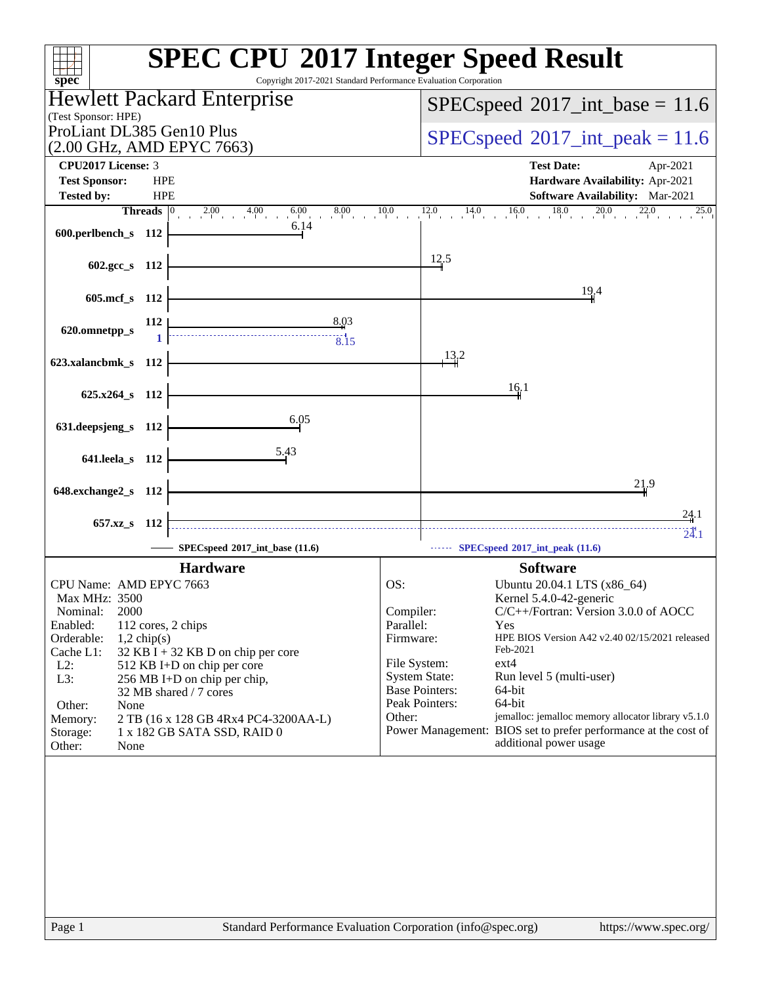| $spec^*$                                                                                   | <b>SPEC CPU®2017 Integer Speed Result</b><br>Copyright 2017-2021 Standard Performance Evaluation Corporation |
|--------------------------------------------------------------------------------------------|--------------------------------------------------------------------------------------------------------------|
| Hewlett Packard Enterprise                                                                 | $SPEC speed^{\circ}2017\_int\_base = 11.6$                                                                   |
| (Test Sponsor: HPE)                                                                        |                                                                                                              |
| ProLiant DL385 Gen10 Plus<br>(2.00 GHz, AMD EPYC 7663)                                     | $SPEC speed^{\circ}2017\_int\_peak = 11.6$                                                                   |
| <b>CPU2017 License: 3</b>                                                                  | <b>Test Date:</b><br>Apr-2021                                                                                |
| <b>Test Sponsor:</b><br><b>HPE</b>                                                         | Hardware Availability: Apr-2021                                                                              |
| <b>HPE</b><br><b>Tested by:</b>                                                            | <b>Software Availability:</b> Mar-2021                                                                       |
| <b>Threads</b><br>2.00 4.00 6.00 8<br>$8.00$ $10.0$                                        | $14.0$ $16.0$ $18.0$ $20.0$ $22.0$<br>12.0<br>25.0                                                           |
| 6.14<br>600.perlbench_s 112                                                                |                                                                                                              |
|                                                                                            | 12.5                                                                                                         |
| 602.gcc_s 112                                                                              |                                                                                                              |
| 605.mcf_s 112                                                                              | 19.4                                                                                                         |
|                                                                                            |                                                                                                              |
| $\begin{array}{c c}\n & 8.03 \\ & 8.15\n\end{array}$<br>112<br>620.omnetpp_s               |                                                                                                              |
|                                                                                            | 13,2                                                                                                         |
| 623.xalancbmk_s 112                                                                        |                                                                                                              |
| 625.x264_s 112                                                                             | 16.1                                                                                                         |
|                                                                                            |                                                                                                              |
| 6.05<br>631.deepsjeng_s 112                                                                |                                                                                                              |
|                                                                                            |                                                                                                              |
| 5.43<br>641.leela_s 112                                                                    |                                                                                                              |
| 648.exchange2_s 112                                                                        | 21.9                                                                                                         |
|                                                                                            |                                                                                                              |
| 657.xz_s<br>- 112                                                                          | 24.1                                                                                                         |
| SPECspeed®2017_int_base (11.6)                                                             | 24.1<br>SPECspeed®2017_int_peak (11.6)                                                                       |
| <b>Hardware</b>                                                                            | <b>Software</b>                                                                                              |
| CPU Name: AMD EPYC 7663                                                                    | OS:<br>Ubuntu 20.04.1 LTS (x86_64)                                                                           |
| Max MHz: 3500<br>2000<br>Nominal:                                                          | Kernel 5.4.0-42-generic<br>C/C++/Fortran: Version 3.0.0 of AOCC<br>Compiler:                                 |
| Enabled:<br>112 cores, 2 chips                                                             | Parallel:<br>Yes                                                                                             |
| Orderable:<br>$1,2$ chip(s)                                                                | Firmware:<br>HPE BIOS Version A42 v2.40 02/15/2021 released                                                  |
| Cache L1:<br>$32$ KB I + 32 KB D on chip per core<br>$L2$ :<br>512 KB I+D on chip per core | Feb-2021<br>File System:<br>ext4                                                                             |
| L3:<br>256 MB I+D on chip per chip,                                                        | <b>System State:</b><br>Run level 5 (multi-user)                                                             |
| 32 MB shared / 7 cores                                                                     | <b>Base Pointers:</b><br>64-bit<br>Peak Pointers:<br>64-bit                                                  |
| Other:<br>None<br>2 TB (16 x 128 GB 4Rx4 PC4-3200AA-L)<br>Memory:                          | jemalloc: jemalloc memory allocator library v5.1.0<br>Other:                                                 |
| 1 x 182 GB SATA SSD, RAID 0<br>Storage:                                                    | Power Management: BIOS set to prefer performance at the cost of                                              |
| Other:<br>None                                                                             | additional power usage                                                                                       |
|                                                                                            |                                                                                                              |
| Page 1                                                                                     | Standard Performance Evaluation Corporation (info@spec.org)<br>https://www.spec.org/                         |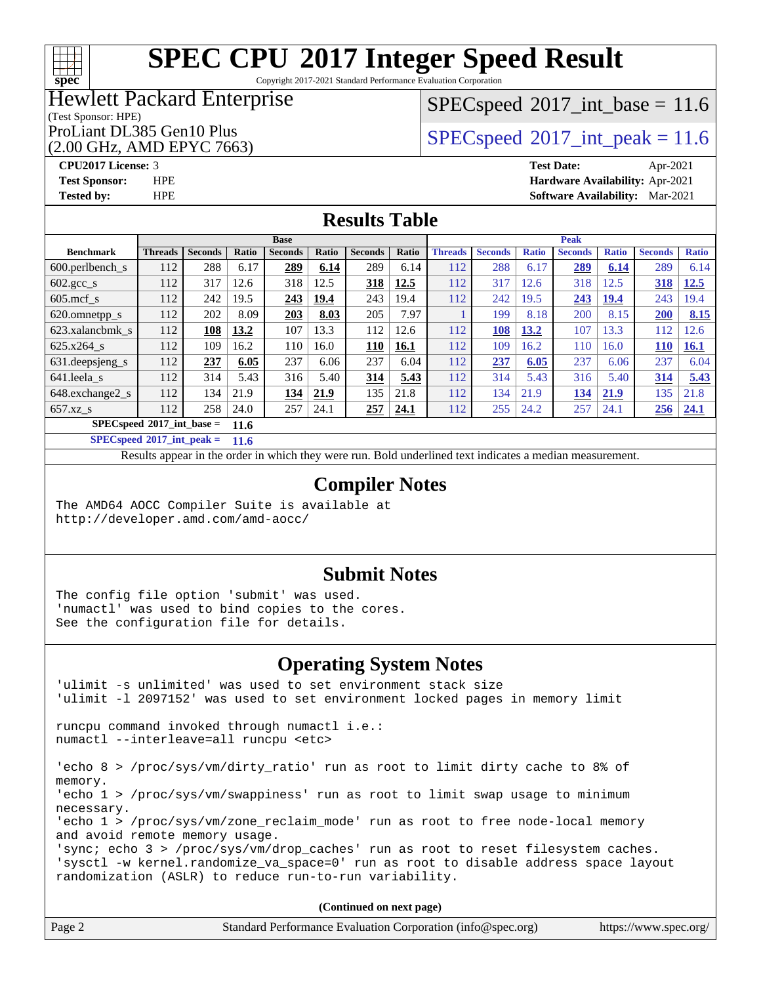# **[spec](http://www.spec.org/)**

# **[SPEC CPU](http://www.spec.org/auto/cpu2017/Docs/result-fields.html#SPECCPU2017IntegerSpeedResult)[2017 Integer Speed Result](http://www.spec.org/auto/cpu2017/Docs/result-fields.html#SPECCPU2017IntegerSpeedResult)**

Copyright 2017-2021 Standard Performance Evaluation Corporation

## Hewlett Packard Enterprise

### (Test Sponsor: HPE)

(2.00 GHz, AMD EPYC 7663)

 $SPECspeed^{\circ}2017\_int\_base = 11.6$  $SPECspeed^{\circ}2017\_int\_base = 11.6$ 

ProLiant DL385 Gen10 Plus  $SPEC speed@2017$ \_int\_peak = 11.6

**[CPU2017 License:](http://www.spec.org/auto/cpu2017/Docs/result-fields.html#CPU2017License)** 3 **[Test Date:](http://www.spec.org/auto/cpu2017/Docs/result-fields.html#TestDate)** Apr-2021 **[Test Sponsor:](http://www.spec.org/auto/cpu2017/Docs/result-fields.html#TestSponsor)** HPE **[Hardware Availability:](http://www.spec.org/auto/cpu2017/Docs/result-fields.html#HardwareAvailability)** Apr-2021 **[Tested by:](http://www.spec.org/auto/cpu2017/Docs/result-fields.html#Testedby)** HPE **[Software Availability:](http://www.spec.org/auto/cpu2017/Docs/result-fields.html#SoftwareAvailability)** Mar-2021

## **[Results Table](http://www.spec.org/auto/cpu2017/Docs/result-fields.html#ResultsTable)**

|                                     | <b>Base</b>    |                |              |                |       | <b>Peak</b>    |       |                |                |              |                |              |                |              |
|-------------------------------------|----------------|----------------|--------------|----------------|-------|----------------|-------|----------------|----------------|--------------|----------------|--------------|----------------|--------------|
| <b>Benchmark</b>                    | <b>Threads</b> | <b>Seconds</b> | <b>Ratio</b> | <b>Seconds</b> | Ratio | <b>Seconds</b> | Ratio | <b>Threads</b> | <b>Seconds</b> | <b>Ratio</b> | <b>Seconds</b> | <b>Ratio</b> | <b>Seconds</b> | <b>Ratio</b> |
| 600.perlbench s                     | 112            | 288            | 6.17         | 289            | 6.14  | 289            | 6.14  | 112            | 288            | 6.17         | 289            | 6.14         | 289            | 6.14         |
| $602 \text{.} \text{gcc}\text{.}$ s | 112            | 317            | 12.6         | 318            | 12.5  | 318            | 12.5  | 112            | 317            | 12.6         | 318            | 12.5         | 318            | 12.5         |
| $605$ .mcf s                        | 112            | 242            | 19.5         | 243            | 19.4  | 243            | 19.4  | 112            | 242            | 19.5         | 243            | <u>19.4</u>  | 243            | 19.4         |
| 620.omnetpp_s                       | 112            | 202            | 8.09         | 203            | 8.03  | 205            | 7.97  |                | 199            | 8.18         | 200            | 8.15         | 200            | 8.15         |
| 623.xalancbmk s                     | 112            | 108            | 13.2         | 107            | 13.3  | 112            | 12.6  | 112            | 108            | 13.2         | 107            | 13.3         | 112            | 12.6         |
| 625.x264 s                          | 112            | 109            | 16.2         | 110            | 16.0  | 110            | 16.1  | 112            | 109            | 16.2         | 110            | 16.0         | 110            | <b>16.1</b>  |
| $631.$ deepsjeng $s$                | 112            | 237            | 6.05         | 237            | 6.06  | 237            | 6.04  | 112            | 237            | 6.05         | 237            | 6.06         | 237            | 6.04         |
| 641.leela s                         | 112            | 314            | 5.43         | 316            | 5.40  | 314            | 5.43  | 112            | 314            | 5.43         | 316            | 5.40         | 314            | 5.43         |
| 648.exchange2 s                     | 112            | 134            | 21.9         | 134            | 21.9  | 135            | 21.8  | 112            | 134            | 21.9         | 134            | 21.9         | 135            | 21.8         |
| $657.xz$ s                          | 112            | 258            | 24.0         | 257            | 24.1  | 257            | 24.1  | 112            | 255            | 24.2         | 257            | 24.1         | 256            | 24.1         |
| $SPECspeed*2017$ int base =         |                |                | 11.6         |                |       |                |       |                |                |              |                |              |                |              |

**[SPECspeed](http://www.spec.org/auto/cpu2017/Docs/result-fields.html#SPECspeed2017intpeak)[2017\\_int\\_peak =](http://www.spec.org/auto/cpu2017/Docs/result-fields.html#SPECspeed2017intpeak) 11.6**

Results appear in the [order in which they were run.](http://www.spec.org/auto/cpu2017/Docs/result-fields.html#RunOrder) Bold underlined text [indicates a median measurement](http://www.spec.org/auto/cpu2017/Docs/result-fields.html#Median).

## **[Compiler Notes](http://www.spec.org/auto/cpu2017/Docs/result-fields.html#CompilerNotes)**

The AMD64 AOCC Compiler Suite is available at <http://developer.amd.com/amd-aocc/>

### **[Submit Notes](http://www.spec.org/auto/cpu2017/Docs/result-fields.html#SubmitNotes)**

The config file option 'submit' was used. 'numactl' was used to bind copies to the cores. See the configuration file for details.

### **[Operating System Notes](http://www.spec.org/auto/cpu2017/Docs/result-fields.html#OperatingSystemNotes)**

'ulimit -s unlimited' was used to set environment stack size 'ulimit -l 2097152' was used to set environment locked pages in memory limit runcpu command invoked through numactl i.e.: numactl --interleave=all runcpu <etc> 'echo 8 > /proc/sys/vm/dirty\_ratio' run as root to limit dirty cache to 8% of memory. 'echo 1 > /proc/sys/vm/swappiness' run as root to limit swap usage to minimum necessary. 'echo 1 > /proc/sys/vm/zone\_reclaim\_mode' run as root to free node-local memory and avoid remote memory usage. 'sync; echo 3 > /proc/sys/vm/drop\_caches' run as root to reset filesystem caches. 'sysctl -w kernel.randomize\_va\_space=0' run as root to disable address space layout randomization (ASLR) to reduce run-to-run variability.

| Page 2 | Standard Performance Evaluation Corporation (info@spec.org) | https://www.spec.org/ |
|--------|-------------------------------------------------------------|-----------------------|
|--------|-------------------------------------------------------------|-----------------------|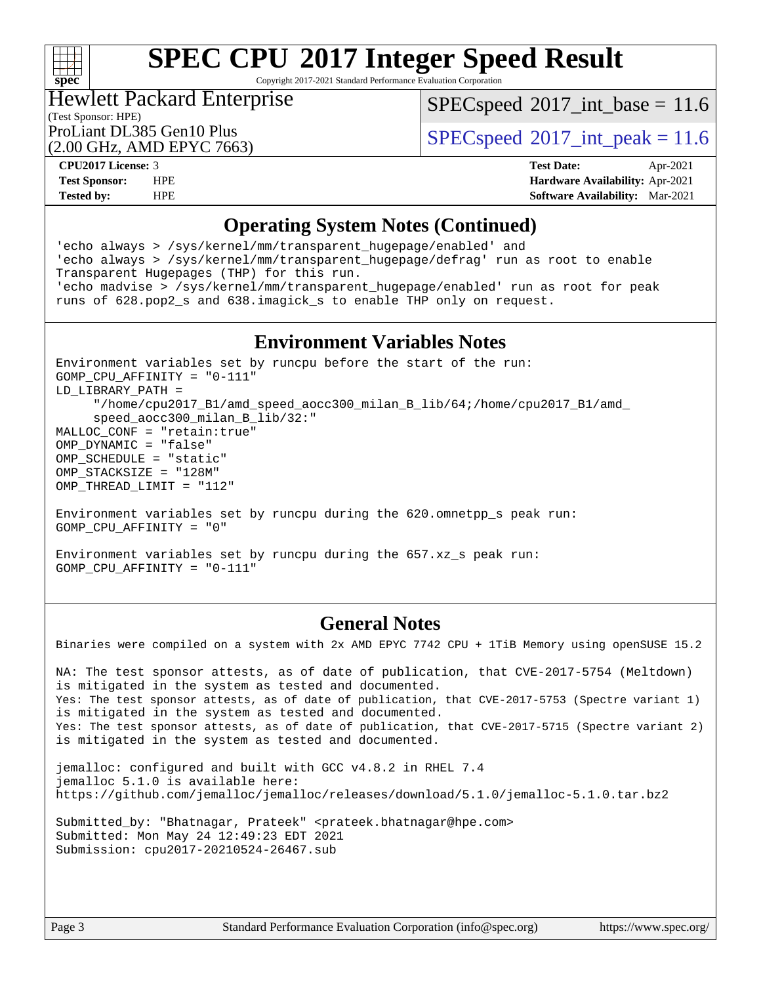

Copyright 2017-2021 Standard Performance Evaluation Corporation

## Hewlett Packard Enterprise

 $SPECspeed^{\circ}2017\_int\_base = 11.6$  $SPECspeed^{\circ}2017\_int\_base = 11.6$ 

(Test Sponsor: HPE)

(2.00 GHz, AMD EPYC 7663)

ProLiant DL385 Gen10 Plus  $SPEC speed@2017$ \_int\_peak = 11.6

**[CPU2017 License:](http://www.spec.org/auto/cpu2017/Docs/result-fields.html#CPU2017License)** 3 **[Test Date:](http://www.spec.org/auto/cpu2017/Docs/result-fields.html#TestDate)** Apr-2021 **[Test Sponsor:](http://www.spec.org/auto/cpu2017/Docs/result-fields.html#TestSponsor)** HPE **[Hardware Availability:](http://www.spec.org/auto/cpu2017/Docs/result-fields.html#HardwareAvailability)** Apr-2021 **[Tested by:](http://www.spec.org/auto/cpu2017/Docs/result-fields.html#Testedby)** HPE **[Software Availability:](http://www.spec.org/auto/cpu2017/Docs/result-fields.html#SoftwareAvailability)** Mar-2021

## **[Operating System Notes \(Continued\)](http://www.spec.org/auto/cpu2017/Docs/result-fields.html#OperatingSystemNotes)**

'echo always > /sys/kernel/mm/transparent\_hugepage/enabled' and 'echo always > /sys/kernel/mm/transparent\_hugepage/defrag' run as root to enable Transparent Hugepages (THP) for this run. 'echo madvise > /sys/kernel/mm/transparent\_hugepage/enabled' run as root for peak runs of 628.pop2\_s and 638.imagick\_s to enable THP only on request.

### **[Environment Variables Notes](http://www.spec.org/auto/cpu2017/Docs/result-fields.html#EnvironmentVariablesNotes)**

Environment variables set by runcpu before the start of the run: GOMP\_CPU\_AFFINITY = "0-111" LD\_LIBRARY\_PATH = "/home/cpu2017\_B1/amd\_speed\_aocc300\_milan\_B\_lib/64;/home/cpu2017\_B1/amd\_ speed aocc300 milan B lib/32:" MALLOC\_CONF = "retain:true" OMP\_DYNAMIC = "false" OMP SCHEDULE = "static" OMP\_STACKSIZE = "128M" OMP\_THREAD\_LIMIT = "112"

Environment variables set by runcpu during the 620.omnetpp\_s peak run: GOMP\_CPU\_AFFINITY = "0"

Environment variables set by runcpu during the 657.xz\_s peak run: GOMP\_CPU\_AFFINITY = "0-111"

## **[General Notes](http://www.spec.org/auto/cpu2017/Docs/result-fields.html#GeneralNotes)**

Binaries were compiled on a system with 2x AMD EPYC 7742 CPU + 1TiB Memory using openSUSE 15.2

NA: The test sponsor attests, as of date of publication, that CVE-2017-5754 (Meltdown) is mitigated in the system as tested and documented. Yes: The test sponsor attests, as of date of publication, that CVE-2017-5753 (Spectre variant 1) is mitigated in the system as tested and documented. Yes: The test sponsor attests, as of date of publication, that CVE-2017-5715 (Spectre variant 2) is mitigated in the system as tested and documented.

jemalloc: configured and built with GCC v4.8.2 in RHEL 7.4 jemalloc 5.1.0 is available here: <https://github.com/jemalloc/jemalloc/releases/download/5.1.0/jemalloc-5.1.0.tar.bz2>

Submitted\_by: "Bhatnagar, Prateek" <prateek.bhatnagar@hpe.com> Submitted: Mon May 24 12:49:23 EDT 2021 Submission: cpu2017-20210524-26467.sub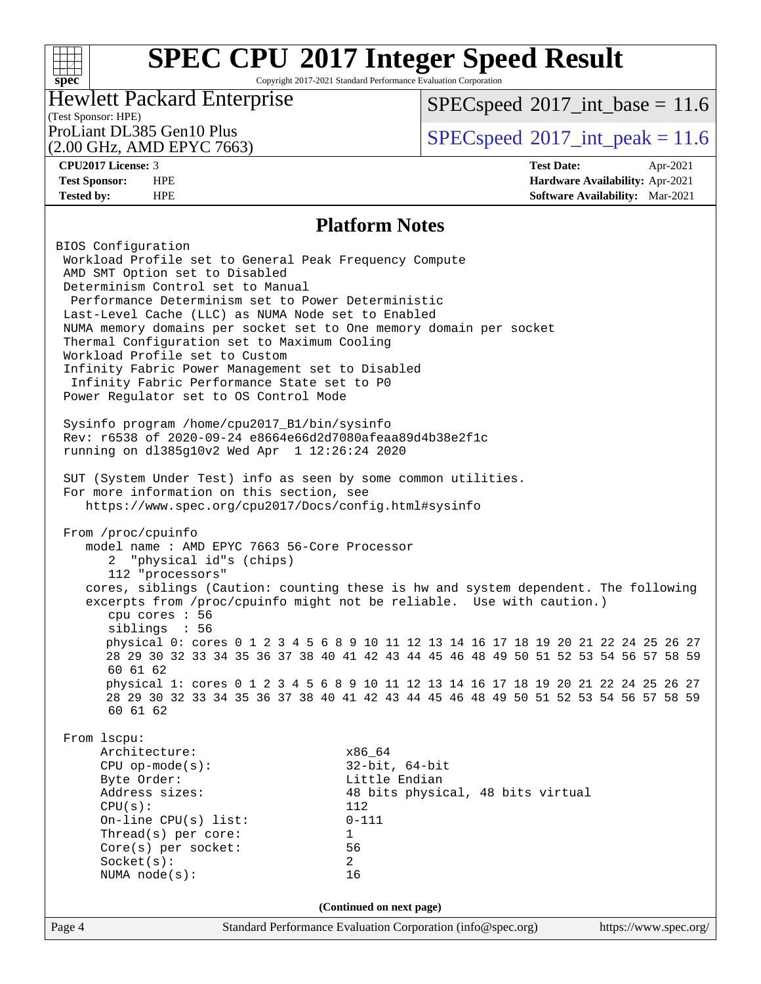## $+\!\!+\!\!$ **[spec](http://www.spec.org/)**

# **[SPEC CPU](http://www.spec.org/auto/cpu2017/Docs/result-fields.html#SPECCPU2017IntegerSpeedResult)[2017 Integer Speed Result](http://www.spec.org/auto/cpu2017/Docs/result-fields.html#SPECCPU2017IntegerSpeedResult)**

Copyright 2017-2021 Standard Performance Evaluation Corporation

## Hewlett Packard Enterprise

 $SPECspeed^{\circ}2017\_int\_base = 11.6$  $SPECspeed^{\circ}2017\_int\_base = 11.6$ 

(Test Sponsor: HPE) (2.00 GHz, AMD EPYC 7663)

ProLiant DL385 Gen10 Plus  $SPEC speed@2017$ \_int\_peak = 11.6

**[CPU2017 License:](http://www.spec.org/auto/cpu2017/Docs/result-fields.html#CPU2017License)** 3 **[Test Date:](http://www.spec.org/auto/cpu2017/Docs/result-fields.html#TestDate)** Apr-2021 **[Test Sponsor:](http://www.spec.org/auto/cpu2017/Docs/result-fields.html#TestSponsor)** HPE **[Hardware Availability:](http://www.spec.org/auto/cpu2017/Docs/result-fields.html#HardwareAvailability)** Apr-2021 **[Tested by:](http://www.spec.org/auto/cpu2017/Docs/result-fields.html#Testedby)** HPE **[Software Availability:](http://www.spec.org/auto/cpu2017/Docs/result-fields.html#SoftwareAvailability)** Mar-2021

## **[Platform Notes](http://www.spec.org/auto/cpu2017/Docs/result-fields.html#PlatformNotes)**

Page 4 Standard Performance Evaluation Corporation [\(info@spec.org\)](mailto:info@spec.org) <https://www.spec.org/> BIOS Configuration Workload Profile set to General Peak Frequency Compute AMD SMT Option set to Disabled Determinism Control set to Manual Performance Determinism set to Power Deterministic Last-Level Cache (LLC) as NUMA Node set to Enabled NUMA memory domains per socket set to One memory domain per socket Thermal Configuration set to Maximum Cooling Workload Profile set to Custom Infinity Fabric Power Management set to Disabled Infinity Fabric Performance State set to P0 Power Regulator set to OS Control Mode Sysinfo program /home/cpu2017\_B1/bin/sysinfo Rev: r6538 of 2020-09-24 e8664e66d2d7080afeaa89d4b38e2f1c running on dl385g10v2 Wed Apr 1 12:26:24 2020 SUT (System Under Test) info as seen by some common utilities. For more information on this section, see <https://www.spec.org/cpu2017/Docs/config.html#sysinfo> From /proc/cpuinfo model name : AMD EPYC 7663 56-Core Processor 2 "physical id"s (chips) 112 "processors" cores, siblings (Caution: counting these is hw and system dependent. The following excerpts from /proc/cpuinfo might not be reliable. Use with caution.) cpu cores : 56 siblings : 56 physical 0: cores 0 1 2 3 4 5 6 8 9 10 11 12 13 14 16 17 18 19 20 21 22 24 25 26 27 28 29 30 32 33 34 35 36 37 38 40 41 42 43 44 45 46 48 49 50 51 52 53 54 56 57 58 59 60 61 62 physical 1: cores 0 1 2 3 4 5 6 8 9 10 11 12 13 14 16 17 18 19 20 21 22 24 25 26 27 28 29 30 32 33 34 35 36 37 38 40 41 42 43 44 45 46 48 49 50 51 52 53 54 56 57 58 59 60 61 62 From lscpu: Architecture:  $x86_64$  CPU op-mode(s): 32-bit, 64-bit Byte Order: Little Endian Address sizes: 48 bits physical, 48 bits virtual  $CPU(s):$  112 On-line CPU(s) list: 0-111 Thread(s) per core: 1 Core(s) per socket: 56 Socket(s): 2 NUMA node(s): 16 **(Continued on next page)**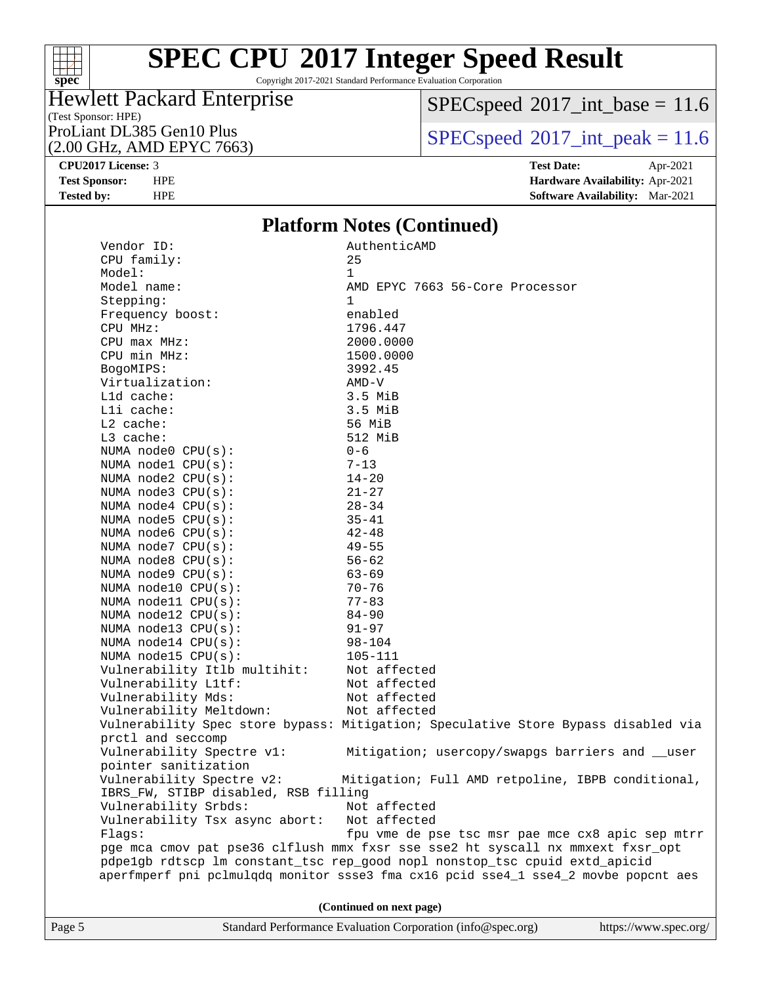

Copyright 2017-2021 Standard Performance Evaluation Corporation

## (Test Sponsor: HPE)<br>ProLiant DL385 Gen10 Plus Hewlett Packard Enterprise

(2.00 GHz, AMD EPYC 7663)

 $SPECspeed*2017\_int\_base = 11.6$  $SPECspeed*2017\_int\_base = 11.6$ 

 $SPECspeed*2017\_int\_peak = 11.6$  $SPECspeed*2017\_int\_peak = 11.6$ 

**[CPU2017 License:](http://www.spec.org/auto/cpu2017/Docs/result-fields.html#CPU2017License)** 3 **[Test Date:](http://www.spec.org/auto/cpu2017/Docs/result-fields.html#TestDate)** Apr-2021 **[Test Sponsor:](http://www.spec.org/auto/cpu2017/Docs/result-fields.html#TestSponsor)** HPE **[Hardware Availability:](http://www.spec.org/auto/cpu2017/Docs/result-fields.html#HardwareAvailability)** Apr-2021 **[Tested by:](http://www.spec.org/auto/cpu2017/Docs/result-fields.html#Testedby)** HPE **[Software Availability:](http://www.spec.org/auto/cpu2017/Docs/result-fields.html#SoftwareAvailability)** Mar-2021

## **[Platform Notes \(Continued\)](http://www.spec.org/auto/cpu2017/Docs/result-fields.html#PlatformNotes)**

| $\mathbf{1}$<br>Model:<br>Model name:<br>AMD EPYC 7663 56-Core Processor<br>Stepping:<br>$\mathbf{1}$<br>Frequency boost:<br>enabled<br>CPU MHz:<br>1796.447<br>$CPU$ max $MHz$ :<br>2000.0000<br>CPU min MHz:<br>1500.0000<br>BogoMIPS:<br>3992.45<br>Virtualization:<br>AMD-V<br>Lld cache:<br>$3.5$ MiB<br>Lli cache:<br>3.5 MiB<br>$L2$ cache:<br>56 MiB<br>L3 cache:<br>512 MiB<br>NUMA $node0$ $CPU(s):$<br>$0 - 6$<br>NUMA $node1$ $CPU(s):$<br>$7 - 13$<br>NUMA $node2$ $CPU(s):$<br>$14 - 20$<br>NUMA $node3$ $CPU(s):$<br>$21 - 27$<br>$28 - 34$<br>NUMA $node4$ $CPU(s):$<br>NUMA node5 CPU(s):<br>$35 - 41$<br>NUMA node6 CPU(s):<br>$42 - 48$<br>$49 - 55$<br>NUMA $node7$ CPU $(s)$ :<br>NUMA $node8$ CPU $(s)$ :<br>$56 - 62$<br>NUMA node9 CPU(s):<br>$63 - 69$<br>NUMA node10 $CPU(s):$<br>$70 - 76$<br>NUMA node11 CPU(s):<br>$77 - 83$<br>NUMA node12 $CPU(s):$<br>$84 - 90$<br>NUMA node13 CPU(s):<br>$91 - 97$<br>NUMA node14 $CPU(s):$<br>$98 - 104$<br>NUMA node15 $CPU(s):$<br>105-111<br>Not affected<br>Vulnerability Itlb multihit:<br>Vulnerability L1tf:<br>Not affected<br>Vulnerability Mds:<br>Not affected<br>Vulnerability Meltdown:<br>Not affected<br>Vulnerability Spec store bypass: Mitigation; Speculative Store Bypass disabled via<br>prctl and seccomp<br>Vulnerability Spectre v1:<br>Mitigation; usercopy/swapgs barriers and __user<br>pointer sanitization<br>Vulnerability Spectre v2:<br>Mitigation; Full AMD retpoline, IBPB conditional,<br>IBRS_FW, STIBP disabled, RSB filling<br>Vulnerability Srbds:<br>Not affected<br>Vulnerability Tsx async abort:<br>Not affected<br>Flags:<br>fpu vme de pse tsc msr pae mce cx8 apic sep mtrr<br>pge mca cmov pat pse36 clflush mmx fxsr sse sse2 ht syscall nx mmxext fxsr_opt<br>pdpelgb rdtscp lm constant_tsc rep_good nopl nonstop_tsc cpuid extd_apicid<br>aperfmperf pni pclmulqdq monitor ssse3 fma cx16 pcid sse4_1 sse4_2 movbe popcnt aes<br>(Continued on next page)<br>Standard Performance Evaluation Corporation (info@spec.org)<br>https://www.spec.org/<br>Page 5 | Vendor ID:  | AuthenticAMD |
|----------------------------------------------------------------------------------------------------------------------------------------------------------------------------------------------------------------------------------------------------------------------------------------------------------------------------------------------------------------------------------------------------------------------------------------------------------------------------------------------------------------------------------------------------------------------------------------------------------------------------------------------------------------------------------------------------------------------------------------------------------------------------------------------------------------------------------------------------------------------------------------------------------------------------------------------------------------------------------------------------------------------------------------------------------------------------------------------------------------------------------------------------------------------------------------------------------------------------------------------------------------------------------------------------------------------------------------------------------------------------------------------------------------------------------------------------------------------------------------------------------------------------------------------------------------------------------------------------------------------------------------------------------------------------------------------------------------------------------------------------------------------------------------------------------------------------------------------------------------------------------------------------------------------------------------------------------------------------------------------------------------------------------------------------------------------------------|-------------|--------------|
|                                                                                                                                                                                                                                                                                                                                                                                                                                                                                                                                                                                                                                                                                                                                                                                                                                                                                                                                                                                                                                                                                                                                                                                                                                                                                                                                                                                                                                                                                                                                                                                                                                                                                                                                                                                                                                                                                                                                                                                                                                                                                  | CPU family: | 25           |
|                                                                                                                                                                                                                                                                                                                                                                                                                                                                                                                                                                                                                                                                                                                                                                                                                                                                                                                                                                                                                                                                                                                                                                                                                                                                                                                                                                                                                                                                                                                                                                                                                                                                                                                                                                                                                                                                                                                                                                                                                                                                                  |             |              |
|                                                                                                                                                                                                                                                                                                                                                                                                                                                                                                                                                                                                                                                                                                                                                                                                                                                                                                                                                                                                                                                                                                                                                                                                                                                                                                                                                                                                                                                                                                                                                                                                                                                                                                                                                                                                                                                                                                                                                                                                                                                                                  |             |              |
|                                                                                                                                                                                                                                                                                                                                                                                                                                                                                                                                                                                                                                                                                                                                                                                                                                                                                                                                                                                                                                                                                                                                                                                                                                                                                                                                                                                                                                                                                                                                                                                                                                                                                                                                                                                                                                                                                                                                                                                                                                                                                  |             |              |
|                                                                                                                                                                                                                                                                                                                                                                                                                                                                                                                                                                                                                                                                                                                                                                                                                                                                                                                                                                                                                                                                                                                                                                                                                                                                                                                                                                                                                                                                                                                                                                                                                                                                                                                                                                                                                                                                                                                                                                                                                                                                                  |             |              |
|                                                                                                                                                                                                                                                                                                                                                                                                                                                                                                                                                                                                                                                                                                                                                                                                                                                                                                                                                                                                                                                                                                                                                                                                                                                                                                                                                                                                                                                                                                                                                                                                                                                                                                                                                                                                                                                                                                                                                                                                                                                                                  |             |              |
|                                                                                                                                                                                                                                                                                                                                                                                                                                                                                                                                                                                                                                                                                                                                                                                                                                                                                                                                                                                                                                                                                                                                                                                                                                                                                                                                                                                                                                                                                                                                                                                                                                                                                                                                                                                                                                                                                                                                                                                                                                                                                  |             |              |
|                                                                                                                                                                                                                                                                                                                                                                                                                                                                                                                                                                                                                                                                                                                                                                                                                                                                                                                                                                                                                                                                                                                                                                                                                                                                                                                                                                                                                                                                                                                                                                                                                                                                                                                                                                                                                                                                                                                                                                                                                                                                                  |             |              |
|                                                                                                                                                                                                                                                                                                                                                                                                                                                                                                                                                                                                                                                                                                                                                                                                                                                                                                                                                                                                                                                                                                                                                                                                                                                                                                                                                                                                                                                                                                                                                                                                                                                                                                                                                                                                                                                                                                                                                                                                                                                                                  |             |              |
|                                                                                                                                                                                                                                                                                                                                                                                                                                                                                                                                                                                                                                                                                                                                                                                                                                                                                                                                                                                                                                                                                                                                                                                                                                                                                                                                                                                                                                                                                                                                                                                                                                                                                                                                                                                                                                                                                                                                                                                                                                                                                  |             |              |
|                                                                                                                                                                                                                                                                                                                                                                                                                                                                                                                                                                                                                                                                                                                                                                                                                                                                                                                                                                                                                                                                                                                                                                                                                                                                                                                                                                                                                                                                                                                                                                                                                                                                                                                                                                                                                                                                                                                                                                                                                                                                                  |             |              |
|                                                                                                                                                                                                                                                                                                                                                                                                                                                                                                                                                                                                                                                                                                                                                                                                                                                                                                                                                                                                                                                                                                                                                                                                                                                                                                                                                                                                                                                                                                                                                                                                                                                                                                                                                                                                                                                                                                                                                                                                                                                                                  |             |              |
|                                                                                                                                                                                                                                                                                                                                                                                                                                                                                                                                                                                                                                                                                                                                                                                                                                                                                                                                                                                                                                                                                                                                                                                                                                                                                                                                                                                                                                                                                                                                                                                                                                                                                                                                                                                                                                                                                                                                                                                                                                                                                  |             |              |
|                                                                                                                                                                                                                                                                                                                                                                                                                                                                                                                                                                                                                                                                                                                                                                                                                                                                                                                                                                                                                                                                                                                                                                                                                                                                                                                                                                                                                                                                                                                                                                                                                                                                                                                                                                                                                                                                                                                                                                                                                                                                                  |             |              |
|                                                                                                                                                                                                                                                                                                                                                                                                                                                                                                                                                                                                                                                                                                                                                                                                                                                                                                                                                                                                                                                                                                                                                                                                                                                                                                                                                                                                                                                                                                                                                                                                                                                                                                                                                                                                                                                                                                                                                                                                                                                                                  |             |              |
|                                                                                                                                                                                                                                                                                                                                                                                                                                                                                                                                                                                                                                                                                                                                                                                                                                                                                                                                                                                                                                                                                                                                                                                                                                                                                                                                                                                                                                                                                                                                                                                                                                                                                                                                                                                                                                                                                                                                                                                                                                                                                  |             |              |
|                                                                                                                                                                                                                                                                                                                                                                                                                                                                                                                                                                                                                                                                                                                                                                                                                                                                                                                                                                                                                                                                                                                                                                                                                                                                                                                                                                                                                                                                                                                                                                                                                                                                                                                                                                                                                                                                                                                                                                                                                                                                                  |             |              |
|                                                                                                                                                                                                                                                                                                                                                                                                                                                                                                                                                                                                                                                                                                                                                                                                                                                                                                                                                                                                                                                                                                                                                                                                                                                                                                                                                                                                                                                                                                                                                                                                                                                                                                                                                                                                                                                                                                                                                                                                                                                                                  |             |              |
|                                                                                                                                                                                                                                                                                                                                                                                                                                                                                                                                                                                                                                                                                                                                                                                                                                                                                                                                                                                                                                                                                                                                                                                                                                                                                                                                                                                                                                                                                                                                                                                                                                                                                                                                                                                                                                                                                                                                                                                                                                                                                  |             |              |
|                                                                                                                                                                                                                                                                                                                                                                                                                                                                                                                                                                                                                                                                                                                                                                                                                                                                                                                                                                                                                                                                                                                                                                                                                                                                                                                                                                                                                                                                                                                                                                                                                                                                                                                                                                                                                                                                                                                                                                                                                                                                                  |             |              |
|                                                                                                                                                                                                                                                                                                                                                                                                                                                                                                                                                                                                                                                                                                                                                                                                                                                                                                                                                                                                                                                                                                                                                                                                                                                                                                                                                                                                                                                                                                                                                                                                                                                                                                                                                                                                                                                                                                                                                                                                                                                                                  |             |              |
|                                                                                                                                                                                                                                                                                                                                                                                                                                                                                                                                                                                                                                                                                                                                                                                                                                                                                                                                                                                                                                                                                                                                                                                                                                                                                                                                                                                                                                                                                                                                                                                                                                                                                                                                                                                                                                                                                                                                                                                                                                                                                  |             |              |
|                                                                                                                                                                                                                                                                                                                                                                                                                                                                                                                                                                                                                                                                                                                                                                                                                                                                                                                                                                                                                                                                                                                                                                                                                                                                                                                                                                                                                                                                                                                                                                                                                                                                                                                                                                                                                                                                                                                                                                                                                                                                                  |             |              |
|                                                                                                                                                                                                                                                                                                                                                                                                                                                                                                                                                                                                                                                                                                                                                                                                                                                                                                                                                                                                                                                                                                                                                                                                                                                                                                                                                                                                                                                                                                                                                                                                                                                                                                                                                                                                                                                                                                                                                                                                                                                                                  |             |              |
|                                                                                                                                                                                                                                                                                                                                                                                                                                                                                                                                                                                                                                                                                                                                                                                                                                                                                                                                                                                                                                                                                                                                                                                                                                                                                                                                                                                                                                                                                                                                                                                                                                                                                                                                                                                                                                                                                                                                                                                                                                                                                  |             |              |
|                                                                                                                                                                                                                                                                                                                                                                                                                                                                                                                                                                                                                                                                                                                                                                                                                                                                                                                                                                                                                                                                                                                                                                                                                                                                                                                                                                                                                                                                                                                                                                                                                                                                                                                                                                                                                                                                                                                                                                                                                                                                                  |             |              |
|                                                                                                                                                                                                                                                                                                                                                                                                                                                                                                                                                                                                                                                                                                                                                                                                                                                                                                                                                                                                                                                                                                                                                                                                                                                                                                                                                                                                                                                                                                                                                                                                                                                                                                                                                                                                                                                                                                                                                                                                                                                                                  |             |              |
|                                                                                                                                                                                                                                                                                                                                                                                                                                                                                                                                                                                                                                                                                                                                                                                                                                                                                                                                                                                                                                                                                                                                                                                                                                                                                                                                                                                                                                                                                                                                                                                                                                                                                                                                                                                                                                                                                                                                                                                                                                                                                  |             |              |
|                                                                                                                                                                                                                                                                                                                                                                                                                                                                                                                                                                                                                                                                                                                                                                                                                                                                                                                                                                                                                                                                                                                                                                                                                                                                                                                                                                                                                                                                                                                                                                                                                                                                                                                                                                                                                                                                                                                                                                                                                                                                                  |             |              |
|                                                                                                                                                                                                                                                                                                                                                                                                                                                                                                                                                                                                                                                                                                                                                                                                                                                                                                                                                                                                                                                                                                                                                                                                                                                                                                                                                                                                                                                                                                                                                                                                                                                                                                                                                                                                                                                                                                                                                                                                                                                                                  |             |              |
|                                                                                                                                                                                                                                                                                                                                                                                                                                                                                                                                                                                                                                                                                                                                                                                                                                                                                                                                                                                                                                                                                                                                                                                                                                                                                                                                                                                                                                                                                                                                                                                                                                                                                                                                                                                                                                                                                                                                                                                                                                                                                  |             |              |
|                                                                                                                                                                                                                                                                                                                                                                                                                                                                                                                                                                                                                                                                                                                                                                                                                                                                                                                                                                                                                                                                                                                                                                                                                                                                                                                                                                                                                                                                                                                                                                                                                                                                                                                                                                                                                                                                                                                                                                                                                                                                                  |             |              |
|                                                                                                                                                                                                                                                                                                                                                                                                                                                                                                                                                                                                                                                                                                                                                                                                                                                                                                                                                                                                                                                                                                                                                                                                                                                                                                                                                                                                                                                                                                                                                                                                                                                                                                                                                                                                                                                                                                                                                                                                                                                                                  |             |              |
|                                                                                                                                                                                                                                                                                                                                                                                                                                                                                                                                                                                                                                                                                                                                                                                                                                                                                                                                                                                                                                                                                                                                                                                                                                                                                                                                                                                                                                                                                                                                                                                                                                                                                                                                                                                                                                                                                                                                                                                                                                                                                  |             |              |
|                                                                                                                                                                                                                                                                                                                                                                                                                                                                                                                                                                                                                                                                                                                                                                                                                                                                                                                                                                                                                                                                                                                                                                                                                                                                                                                                                                                                                                                                                                                                                                                                                                                                                                                                                                                                                                                                                                                                                                                                                                                                                  |             |              |
|                                                                                                                                                                                                                                                                                                                                                                                                                                                                                                                                                                                                                                                                                                                                                                                                                                                                                                                                                                                                                                                                                                                                                                                                                                                                                                                                                                                                                                                                                                                                                                                                                                                                                                                                                                                                                                                                                                                                                                                                                                                                                  |             |              |
|                                                                                                                                                                                                                                                                                                                                                                                                                                                                                                                                                                                                                                                                                                                                                                                                                                                                                                                                                                                                                                                                                                                                                                                                                                                                                                                                                                                                                                                                                                                                                                                                                                                                                                                                                                                                                                                                                                                                                                                                                                                                                  |             |              |
|                                                                                                                                                                                                                                                                                                                                                                                                                                                                                                                                                                                                                                                                                                                                                                                                                                                                                                                                                                                                                                                                                                                                                                                                                                                                                                                                                                                                                                                                                                                                                                                                                                                                                                                                                                                                                                                                                                                                                                                                                                                                                  |             |              |
|                                                                                                                                                                                                                                                                                                                                                                                                                                                                                                                                                                                                                                                                                                                                                                                                                                                                                                                                                                                                                                                                                                                                                                                                                                                                                                                                                                                                                                                                                                                                                                                                                                                                                                                                                                                                                                                                                                                                                                                                                                                                                  |             |              |
|                                                                                                                                                                                                                                                                                                                                                                                                                                                                                                                                                                                                                                                                                                                                                                                                                                                                                                                                                                                                                                                                                                                                                                                                                                                                                                                                                                                                                                                                                                                                                                                                                                                                                                                                                                                                                                                                                                                                                                                                                                                                                  |             |              |
|                                                                                                                                                                                                                                                                                                                                                                                                                                                                                                                                                                                                                                                                                                                                                                                                                                                                                                                                                                                                                                                                                                                                                                                                                                                                                                                                                                                                                                                                                                                                                                                                                                                                                                                                                                                                                                                                                                                                                                                                                                                                                  |             |              |
|                                                                                                                                                                                                                                                                                                                                                                                                                                                                                                                                                                                                                                                                                                                                                                                                                                                                                                                                                                                                                                                                                                                                                                                                                                                                                                                                                                                                                                                                                                                                                                                                                                                                                                                                                                                                                                                                                                                                                                                                                                                                                  |             |              |
|                                                                                                                                                                                                                                                                                                                                                                                                                                                                                                                                                                                                                                                                                                                                                                                                                                                                                                                                                                                                                                                                                                                                                                                                                                                                                                                                                                                                                                                                                                                                                                                                                                                                                                                                                                                                                                                                                                                                                                                                                                                                                  |             |              |
|                                                                                                                                                                                                                                                                                                                                                                                                                                                                                                                                                                                                                                                                                                                                                                                                                                                                                                                                                                                                                                                                                                                                                                                                                                                                                                                                                                                                                                                                                                                                                                                                                                                                                                                                                                                                                                                                                                                                                                                                                                                                                  |             |              |
|                                                                                                                                                                                                                                                                                                                                                                                                                                                                                                                                                                                                                                                                                                                                                                                                                                                                                                                                                                                                                                                                                                                                                                                                                                                                                                                                                                                                                                                                                                                                                                                                                                                                                                                                                                                                                                                                                                                                                                                                                                                                                  |             |              |
|                                                                                                                                                                                                                                                                                                                                                                                                                                                                                                                                                                                                                                                                                                                                                                                                                                                                                                                                                                                                                                                                                                                                                                                                                                                                                                                                                                                                                                                                                                                                                                                                                                                                                                                                                                                                                                                                                                                                                                                                                                                                                  |             |              |
|                                                                                                                                                                                                                                                                                                                                                                                                                                                                                                                                                                                                                                                                                                                                                                                                                                                                                                                                                                                                                                                                                                                                                                                                                                                                                                                                                                                                                                                                                                                                                                                                                                                                                                                                                                                                                                                                                                                                                                                                                                                                                  |             |              |
|                                                                                                                                                                                                                                                                                                                                                                                                                                                                                                                                                                                                                                                                                                                                                                                                                                                                                                                                                                                                                                                                                                                                                                                                                                                                                                                                                                                                                                                                                                                                                                                                                                                                                                                                                                                                                                                                                                                                                                                                                                                                                  |             |              |
|                                                                                                                                                                                                                                                                                                                                                                                                                                                                                                                                                                                                                                                                                                                                                                                                                                                                                                                                                                                                                                                                                                                                                                                                                                                                                                                                                                                                                                                                                                                                                                                                                                                                                                                                                                                                                                                                                                                                                                                                                                                                                  |             |              |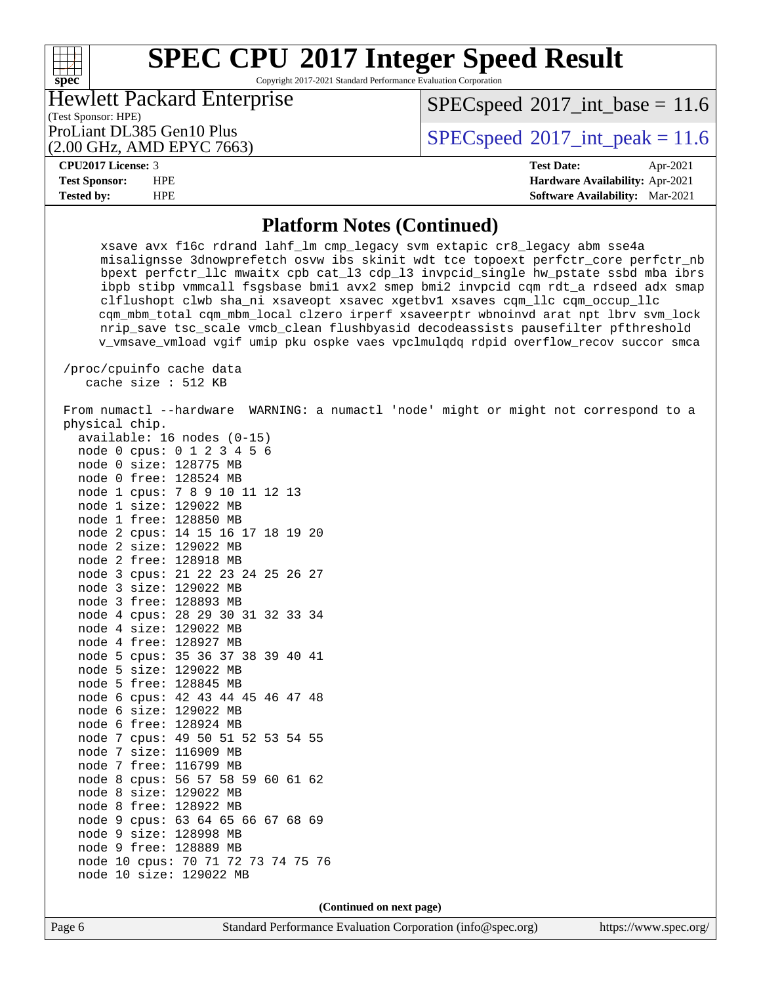Copyright 2017-2021 Standard Performance Evaluation Corporation

| <b>Hewlett Packard Enterprise</b>                                 |  |  |
|-------------------------------------------------------------------|--|--|
| (Test Sponsor: HPE)                                               |  |  |
| $D_{\text{rel}}$ iant DI 205 $C_{\text{rel}}$ 10 $D_{\text{rel}}$ |  |  |

(2.00 GHz, AMD EPYC 7663)

 $SPECspeed^{\circ}2017\_int\_base = 11.6$  $SPECspeed^{\circ}2017\_int\_base = 11.6$ 

ProLiant DL385 Gen10 Plus  $SPECspeed@2017\_int\_peak = 11.6$  $SPECspeed@2017\_int\_peak = 11.6$ 

### **[CPU2017 License:](http://www.spec.org/auto/cpu2017/Docs/result-fields.html#CPU2017License)** 3 **[Test Date:](http://www.spec.org/auto/cpu2017/Docs/result-fields.html#TestDate)** Apr-2021

**[spec](http://www.spec.org/)**

 $+\,$ H

**[Test Sponsor:](http://www.spec.org/auto/cpu2017/Docs/result-fields.html#TestSponsor)** HPE **[Hardware Availability:](http://www.spec.org/auto/cpu2017/Docs/result-fields.html#HardwareAvailability)** Apr-2021 **[Tested by:](http://www.spec.org/auto/cpu2017/Docs/result-fields.html#Testedby)** HPE **[Software Availability:](http://www.spec.org/auto/cpu2017/Docs/result-fields.html#SoftwareAvailability)** Mar-2021

### **[Platform Notes \(Continued\)](http://www.spec.org/auto/cpu2017/Docs/result-fields.html#PlatformNotes)**

 xsave avx f16c rdrand lahf\_lm cmp\_legacy svm extapic cr8\_legacy abm sse4a misalignsse 3dnowprefetch osvw ibs skinit wdt tce topoext perfctr\_core perfctr\_nb bpext perfctr\_llc mwaitx cpb cat\_l3 cdp\_l3 invpcid\_single hw\_pstate ssbd mba ibrs ibpb stibp vmmcall fsgsbase bmi1 avx2 smep bmi2 invpcid cqm rdt\_a rdseed adx smap clflushopt clwb sha\_ni xsaveopt xsavec xgetbv1 xsaves cqm\_llc cqm\_occup\_llc cqm\_mbm\_total cqm\_mbm\_local clzero irperf xsaveerptr wbnoinvd arat npt lbrv svm\_lock nrip\_save tsc\_scale vmcb\_clean flushbyasid decodeassists pausefilter pfthreshold v\_vmsave\_vmload vgif umip pku ospke vaes vpclmulqdq rdpid overflow\_recov succor smca

 /proc/cpuinfo cache data cache size : 512 KB

 From numactl --hardware WARNING: a numactl 'node' might or might not correspond to a physical chip. available: 16 nodes (0-15) node 0 cpus: 0 1 2 3 4 5 6 node 0 size: 128775 MB node 0 free: 128524 MB node 1 cpus: 7 8 9 10 11 12 13 node 1 size: 129022 MB node 1 free: 128850 MB node 2 cpus: 14 15 16 17 18 19 20 node 2 size: 129022 MB node 2 free: 128918 MB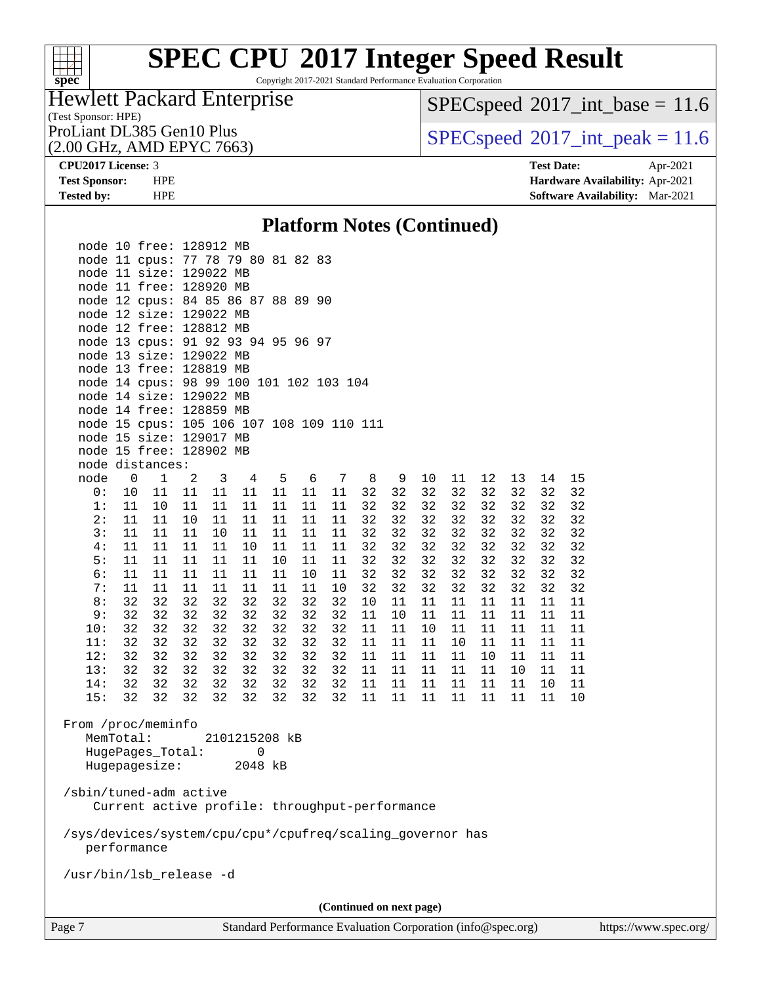

Copyright 2017-2021 Standard Performance Evaluation Corporation

## Hewlett Packard Enterprise

 $SPECspeed*2017\_int\_base = 11.6$  $SPECspeed*2017\_int\_base = 11.6$ 

(Test Sponsor: HPE)<br>ProLiant DL385 Gen10 Plus

(2.00 GHz, AMD EPYC 7663)

 $SPECspeed*2017\_int\_peak = 11.6$  $SPECspeed*2017\_int\_peak = 11.6$ 

**[CPU2017 License:](http://www.spec.org/auto/cpu2017/Docs/result-fields.html#CPU2017License)** 3 **[Test Date:](http://www.spec.org/auto/cpu2017/Docs/result-fields.html#TestDate)** Apr-2021 **[Test Sponsor:](http://www.spec.org/auto/cpu2017/Docs/result-fields.html#TestSponsor)** HPE **[Hardware Availability:](http://www.spec.org/auto/cpu2017/Docs/result-fields.html#HardwareAvailability)** Apr-2021 **[Tested by:](http://www.spec.org/auto/cpu2017/Docs/result-fields.html#Testedby)** HPE **[Software Availability:](http://www.spec.org/auto/cpu2017/Docs/result-fields.html#SoftwareAvailability)** Mar-2021

## **[Platform Notes \(Continued\)](http://www.spec.org/auto/cpu2017/Docs/result-fields.html#PlatformNotes)**

| 6:<br>11<br>11<br>11<br>7:<br>11<br>32<br>32<br>8:                       | 11<br>11<br>11<br>11<br>32<br>32 | 11<br>11<br>32                | 11<br>11<br>32 | 10<br>11<br>32 | 11<br>10<br>32 | 32<br>32<br>10 | 32<br>32<br>11 | 32<br>32<br>11           | 32<br>32<br>11 | 32<br>32<br>11 | 32<br>32<br>11 | 32<br>32<br>11 | 32<br>32<br>11 |  |
|--------------------------------------------------------------------------|----------------------------------|-------------------------------|----------------|----------------|----------------|----------------|----------------|--------------------------|----------------|----------------|----------------|----------------|----------------|--|
| 32<br>9:<br>32                                                           | 32<br>32                         | 32                            | 32             | 32             | 32             | 11             | 10             | 11                       | 11             | 11             | 11             | 11             | 11             |  |
| 32<br>10:<br>32                                                          | 32<br>32                         | 32                            | 32             | 32             | 32             | 11             | 11             | 10                       | 11             | 11             | 11             | 11             | 11             |  |
| 32<br>32<br>11:                                                          | 32<br>32                         | 32                            | 32             | 32             | 32             | 11             | 11             | 11                       | 10             | 11             | 11             | 11             | 11             |  |
| 12:<br>32<br>32                                                          | 32<br>32                         | 32                            | 32             | 32             | 32             | 11             | 11             | 11                       | 11             | 10             | 11             | 11             | 11             |  |
| 32<br>13:<br>32                                                          | 32                               | 32<br>32                      | 32             | 32             | 32             | 11             | 11             | 11                       | 11             | 11             | 10             | 11             | 11             |  |
| 32<br>32<br>14:                                                          | 32                               | 32<br>32                      | 32             | 32             | 32             | 11             | 11             | 11                       | 11             | 11             | 11             | 10             | 11             |  |
| 15:<br>32<br>32                                                          | 32<br>32                         | 32                            | 32             | 32             | 32             | 11             | 11             | 11                       | 11             | 11             | 11             | 11             | 10             |  |
| From /proc/meminfo<br>MemTotal:<br>HugePages_Total:<br>Hugepagesize:     |                                  | 2101215208 kB<br>0<br>2048 kB |                |                |                |                |                |                          |                |                |                |                |                |  |
| /sbin/tuned-adm active<br>Current active profile: throughput-performance |                                  |                               |                |                |                |                |                |                          |                |                |                |                |                |  |
| /sys/devices/system/cpu/cpu*/cpufreq/scaling_governor has<br>performance |                                  |                               |                |                |                |                |                |                          |                |                |                |                |                |  |
| /usr/bin/lsb_release -d                                                  |                                  |                               |                |                |                |                |                |                          |                |                |                |                |                |  |
|                                                                          |                                  |                               |                |                |                |                |                |                          |                |                |                |                |                |  |
|                                                                          |                                  |                               |                |                |                |                |                |                          |                |                |                |                |                |  |
|                                                                          |                                  |                               |                |                |                |                |                | (Continued on next page) |                |                |                |                |                |  |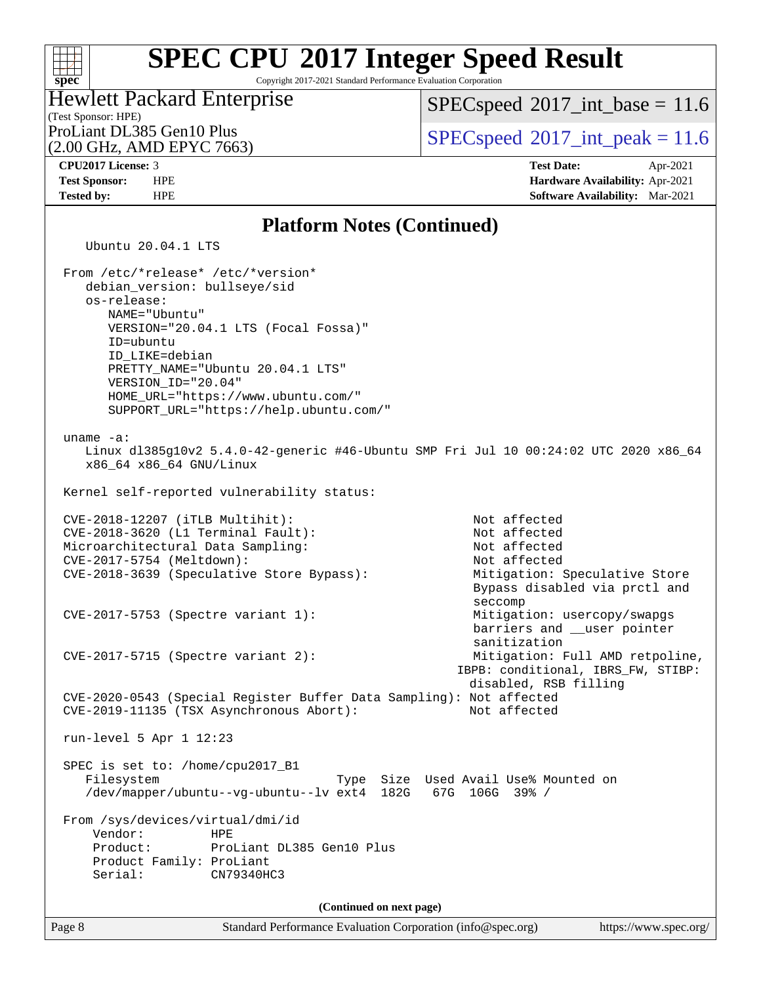Copyright 2017-2021 Standard Performance Evaluation Corporation

## (Test Sponsor: HPE) Hewlett Packard Enterprise

(2.00 GHz, AMD EPYC 7663)

 $SPECspeed^{\circ}2017\_int\_base = 11.6$  $SPECspeed^{\circ}2017\_int\_base = 11.6$ 

ProLiant DL385 Gen10 Plus  $SPEC speed@2017$ \_int\_peak = 11.6

**[spec](http://www.spec.org/)**

 $+\ +$ 

**[CPU2017 License:](http://www.spec.org/auto/cpu2017/Docs/result-fields.html#CPU2017License)** 3 **[Test Date:](http://www.spec.org/auto/cpu2017/Docs/result-fields.html#TestDate)** Apr-2021 **[Test Sponsor:](http://www.spec.org/auto/cpu2017/Docs/result-fields.html#TestSponsor)** HPE **[Hardware Availability:](http://www.spec.org/auto/cpu2017/Docs/result-fields.html#HardwareAvailability)** Apr-2021

### **[Tested by:](http://www.spec.org/auto/cpu2017/Docs/result-fields.html#Testedby)** HPE **[Software Availability:](http://www.spec.org/auto/cpu2017/Docs/result-fields.html#SoftwareAvailability)** Mar-2021 **[Platform Notes \(Continued\)](http://www.spec.org/auto/cpu2017/Docs/result-fields.html#PlatformNotes)** Ubuntu 20.04.1 LTS From /etc/\*release\* /etc/\*version\* debian\_version: bullseye/sid os-release: NAME="Ubuntu" VERSION="20.04.1 LTS (Focal Fossa)" ID=ubuntu ID\_LIKE=debian PRETTY\_NAME="Ubuntu 20.04.1 LTS" VERSION\_ID="20.04" HOME\_URL="[https://www.ubuntu.com/"](https://www.ubuntu.com/) SUPPORT\_URL="[https://help.ubuntu.com/"](https://help.ubuntu.com/) uname -a: Linux dl385g10v2 5.4.0-42-generic #46-Ubuntu SMP Fri Jul 10 00:24:02 UTC 2020 x86\_64 x86\_64 x86\_64 GNU/Linux Kernel self-reported vulnerability status: CVE-2018-12207 (iTLB Multihit): Not affected CVE-2018-3620 (L1 Terminal Fault): Not affected Microarchitectural Data Sampling: Not affected CVE-2017-5754 (Meltdown): Not affected CVE-2018-3639 (Speculative Store Bypass): Mitigation: Speculative Store Bypass disabled via prctl and seccomplex and the contract of the contract of the contract of the second seconds of the seconds of the second CVE-2017-5753 (Spectre variant 1): Mitigation: usercopy/swapgs barriers and \_\_user pointer sanitization CVE-2017-5715 (Spectre variant 2): Mitigation: Full AMD retpoline, IBPB: conditional, IBRS\_FW, STIBP: disabled, RSB filling CVE-2020-0543 (Special Register Buffer Data Sampling): Not affected CVE-2019-11135 (TSX Asynchronous Abort): Not affected run-level 5 Apr 1 12:23 SPEC is set to: /home/cpu2017\_B1 Filesystem Type Size Used Avail Use% Mounted on /dev/mapper/ubuntu--vg-ubuntu--lv ext4 182G 67G 106G 39% / From /sys/devices/virtual/dmi/id Vendor: HPE

 Product: ProLiant DL385 Gen10 Plus Product Family: ProLiant Serial: CN79340HC3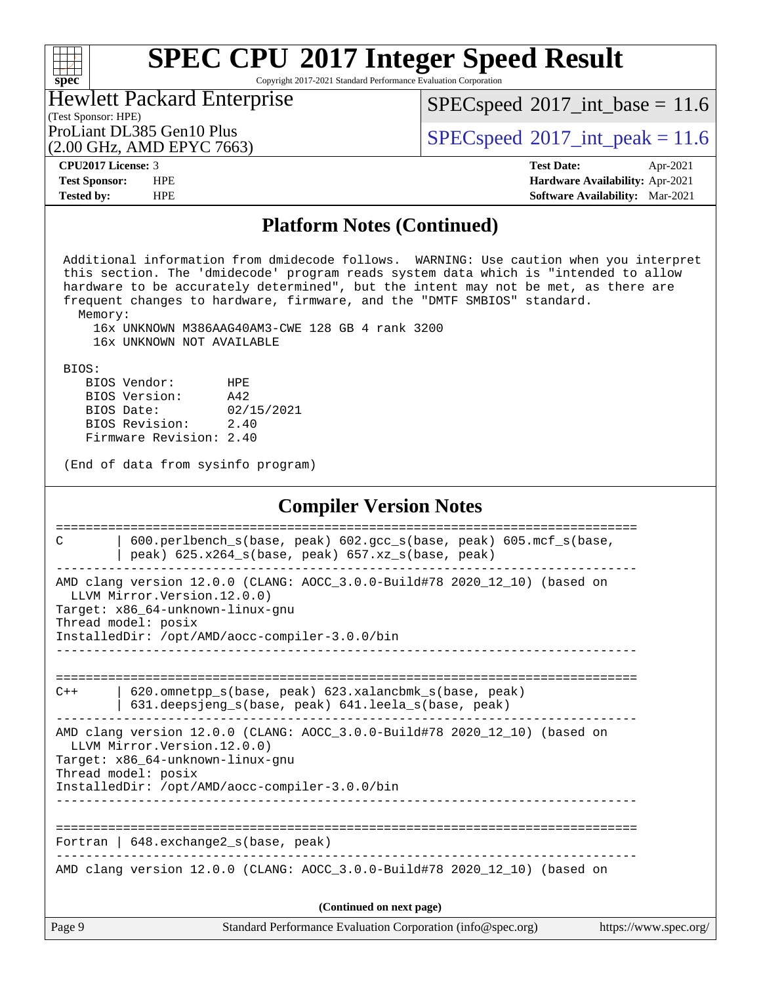Copyright 2017-2021 Standard Performance Evaluation Corporation

| <b>Hewlett Packard Enterprise</b> |
|-----------------------------------|
| (Test Sponsor: HPE)               |
| ProLiant DL385 Gen10 Plus         |

(2.00 GHz, AMD EPYC 7663)

 $SPECspeed^{\circ}2017\_int\_base = 11.6$  $SPECspeed^{\circ}2017\_int\_base = 11.6$ 

 $SPECspeed^{\circ}2017\_int\_peak = 11.6$  $SPECspeed^{\circ}2017\_int\_peak = 11.6$ 

**[spec](http://www.spec.org/)**

 $+\ +$ 

**[CPU2017 License:](http://www.spec.org/auto/cpu2017/Docs/result-fields.html#CPU2017License)** 3 **[Test Date:](http://www.spec.org/auto/cpu2017/Docs/result-fields.html#TestDate)** Apr-2021 **[Test Sponsor:](http://www.spec.org/auto/cpu2017/Docs/result-fields.html#TestSponsor)** HPE **[Hardware Availability:](http://www.spec.org/auto/cpu2017/Docs/result-fields.html#HardwareAvailability)** Apr-2021 **[Tested by:](http://www.spec.org/auto/cpu2017/Docs/result-fields.html#Testedby)** HPE **[Software Availability:](http://www.spec.org/auto/cpu2017/Docs/result-fields.html#SoftwareAvailability)** Mar-2021

## **[Platform Notes \(Continued\)](http://www.spec.org/auto/cpu2017/Docs/result-fields.html#PlatformNotes)**

Page 9 Standard Performance Evaluation Corporation [\(info@spec.org\)](mailto:info@spec.org) <https://www.spec.org/> Additional information from dmidecode follows. WARNING: Use caution when you interpret this section. The 'dmidecode' program reads system data which is "intended to allow hardware to be accurately determined", but the intent may not be met, as there are frequent changes to hardware, firmware, and the "DMTF SMBIOS" standard. Memory: 16x UNKNOWN M386AAG40AM3-CWE 128 GB 4 rank 3200 16x UNKNOWN NOT AVAILABLE BIOS: BIOS Vendor: HPE BIOS Version: A42 BIOS Date: 02/15/2021 BIOS Revision: 2.40 Firmware Revision: 2.40 (End of data from sysinfo program) **[Compiler Version Notes](http://www.spec.org/auto/cpu2017/Docs/result-fields.html#CompilerVersionNotes)** ============================================================================== C | 600.perlbench\_s(base, peak) 602.gcc\_s(base, peak) 605.mcf\_s(base, | peak) 625.x264\_s(base, peak) 657.xz\_s(base, peak) ------------------------------------------------------------------------------ AMD clang version 12.0.0 (CLANG: AOCC\_3.0.0-Build#78 2020\_12\_10) (based on LLVM Mirror.Version.12.0.0) Target: x86\_64-unknown-linux-gnu Thread model: posix InstalledDir: /opt/AMD/aocc-compiler-3.0.0/bin ------------------------------------------------------------------------------ ============================================================================== C++ | 620.omnetpp\_s(base, peak) 623.xalancbmk\_s(base, peak) | 631.deepsjeng\_s(base, peak) 641.leela\_s(base, peak) ------------------------------------------------------------------------------ AMD clang version 12.0.0 (CLANG: AOCC\_3.0.0-Build#78 2020\_12\_10) (based on LLVM Mirror.Version.12.0.0) Target: x86\_64-unknown-linux-gnu Thread model: posix InstalledDir: /opt/AMD/aocc-compiler-3.0.0/bin ------------------------------------------------------------------------------ ============================================================================== Fortran | 648.exchange2\_s(base, peak) ------------------------------------------------------------------------------ AMD clang version 12.0.0 (CLANG: AOCC\_3.0.0-Build#78 2020\_12\_10) (based on **(Continued on next page)**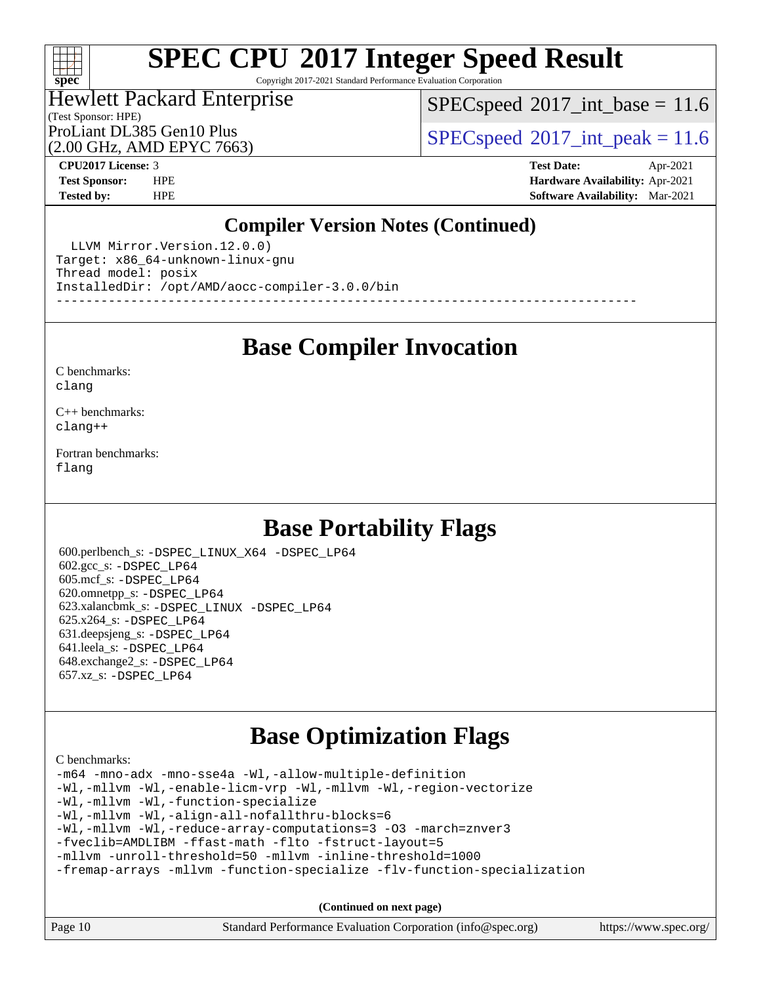## $+\ +$ **[spec](http://www.spec.org/)**

# **[SPEC CPU](http://www.spec.org/auto/cpu2017/Docs/result-fields.html#SPECCPU2017IntegerSpeedResult)[2017 Integer Speed Result](http://www.spec.org/auto/cpu2017/Docs/result-fields.html#SPECCPU2017IntegerSpeedResult)**

Copyright 2017-2021 Standard Performance Evaluation Corporation

### (Test Sponsor: HPE) Hewlett Packard Enterprise

 $SPECspeed^{\circledcirc}2017\_int\_base = 11.6$  $SPECspeed^{\circledcirc}2017\_int\_base = 11.6$ 

ProLiant DL385 Gen10 Plus  $SPEC speed@2017$ \_int\_peak = 11.6

(2.00 GHz, AMD EPYC 7663)

**[CPU2017 License:](http://www.spec.org/auto/cpu2017/Docs/result-fields.html#CPU2017License)** 3 **[Test Date:](http://www.spec.org/auto/cpu2017/Docs/result-fields.html#TestDate)** Apr-2021 **[Test Sponsor:](http://www.spec.org/auto/cpu2017/Docs/result-fields.html#TestSponsor)** HPE **[Hardware Availability:](http://www.spec.org/auto/cpu2017/Docs/result-fields.html#HardwareAvailability)** Apr-2021 **[Tested by:](http://www.spec.org/auto/cpu2017/Docs/result-fields.html#Testedby)** HPE **[Software Availability:](http://www.spec.org/auto/cpu2017/Docs/result-fields.html#SoftwareAvailability)** Mar-2021

## **[Compiler Version Notes \(Continued\)](http://www.spec.org/auto/cpu2017/Docs/result-fields.html#CompilerVersionNotes)**

 LLVM Mirror.Version.12.0.0) Target: x86\_64-unknown-linux-gnu Thread model: posix InstalledDir: /opt/AMD/aocc-compiler-3.0.0/bin ------------------------------------------------------------------------------

**[Base Compiler Invocation](http://www.spec.org/auto/cpu2017/Docs/result-fields.html#BaseCompilerInvocation)**

[C benchmarks](http://www.spec.org/auto/cpu2017/Docs/result-fields.html#Cbenchmarks): [clang](http://www.spec.org/cpu2017/results/res2021q2/cpu2017-20210524-26467.flags.html#user_CCbase_clang-c)

[C++ benchmarks:](http://www.spec.org/auto/cpu2017/Docs/result-fields.html#CXXbenchmarks) [clang++](http://www.spec.org/cpu2017/results/res2021q2/cpu2017-20210524-26467.flags.html#user_CXXbase_clang-cpp)

[Fortran benchmarks](http://www.spec.org/auto/cpu2017/Docs/result-fields.html#Fortranbenchmarks): [flang](http://www.spec.org/cpu2017/results/res2021q2/cpu2017-20210524-26467.flags.html#user_FCbase_flang)

## **[Base Portability Flags](http://www.spec.org/auto/cpu2017/Docs/result-fields.html#BasePortabilityFlags)**

 600.perlbench\_s: [-DSPEC\\_LINUX\\_X64](http://www.spec.org/cpu2017/results/res2021q2/cpu2017-20210524-26467.flags.html#b600.perlbench_s_basePORTABILITY_DSPEC_LINUX_X64) [-DSPEC\\_LP64](http://www.spec.org/cpu2017/results/res2021q2/cpu2017-20210524-26467.flags.html#b600.perlbench_s_baseEXTRA_PORTABILITY_DSPEC_LP64) 602.gcc\_s: [-DSPEC\\_LP64](http://www.spec.org/cpu2017/results/res2021q2/cpu2017-20210524-26467.flags.html#suite_baseEXTRA_PORTABILITY602_gcc_s_DSPEC_LP64) 605.mcf\_s: [-DSPEC\\_LP64](http://www.spec.org/cpu2017/results/res2021q2/cpu2017-20210524-26467.flags.html#suite_baseEXTRA_PORTABILITY605_mcf_s_DSPEC_LP64) 620.omnetpp\_s: [-DSPEC\\_LP64](http://www.spec.org/cpu2017/results/res2021q2/cpu2017-20210524-26467.flags.html#suite_baseEXTRA_PORTABILITY620_omnetpp_s_DSPEC_LP64) 623.xalancbmk\_s: [-DSPEC\\_LINUX](http://www.spec.org/cpu2017/results/res2021q2/cpu2017-20210524-26467.flags.html#b623.xalancbmk_s_basePORTABILITY_DSPEC_LINUX) [-DSPEC\\_LP64](http://www.spec.org/cpu2017/results/res2021q2/cpu2017-20210524-26467.flags.html#suite_baseEXTRA_PORTABILITY623_xalancbmk_s_DSPEC_LP64) 625.x264\_s: [-DSPEC\\_LP64](http://www.spec.org/cpu2017/results/res2021q2/cpu2017-20210524-26467.flags.html#suite_baseEXTRA_PORTABILITY625_x264_s_DSPEC_LP64) 631.deepsjeng\_s: [-DSPEC\\_LP64](http://www.spec.org/cpu2017/results/res2021q2/cpu2017-20210524-26467.flags.html#suite_baseEXTRA_PORTABILITY631_deepsjeng_s_DSPEC_LP64) 641.leela\_s: [-DSPEC\\_LP64](http://www.spec.org/cpu2017/results/res2021q2/cpu2017-20210524-26467.flags.html#suite_baseEXTRA_PORTABILITY641_leela_s_DSPEC_LP64) 648.exchange2\_s: [-DSPEC\\_LP64](http://www.spec.org/cpu2017/results/res2021q2/cpu2017-20210524-26467.flags.html#suite_baseEXTRA_PORTABILITY648_exchange2_s_DSPEC_LP64) 657.xz\_s: [-DSPEC\\_LP64](http://www.spec.org/cpu2017/results/res2021q2/cpu2017-20210524-26467.flags.html#suite_baseEXTRA_PORTABILITY657_xz_s_DSPEC_LP64)

## **[Base Optimization Flags](http://www.spec.org/auto/cpu2017/Docs/result-fields.html#BaseOptimizationFlags)**

[C benchmarks](http://www.spec.org/auto/cpu2017/Docs/result-fields.html#Cbenchmarks):

[-m64](http://www.spec.org/cpu2017/results/res2021q2/cpu2017-20210524-26467.flags.html#user_CCbase_F-m64) [-mno-adx](http://www.spec.org/cpu2017/results/res2021q2/cpu2017-20210524-26467.flags.html#user_CCbase_F-mno-adx) [-mno-sse4a](http://www.spec.org/cpu2017/results/res2021q2/cpu2017-20210524-26467.flags.html#user_CCbase_F-mno-sse4a) [-Wl,-allow-multiple-definition](http://www.spec.org/cpu2017/results/res2021q2/cpu2017-20210524-26467.flags.html#user_CCbase_F-allow-multiple-definition_970930b9380f536892d286f43fe3aa60143711811517403e860b887d69527ebeb0ce7f1b66302f2a87b3cab7b5adae5fa57fa46168627b86a7718b21636cd604) [-Wl,-mllvm -Wl,-enable-licm-vrp](http://www.spec.org/cpu2017/results/res2021q2/cpu2017-20210524-26467.flags.html#user_CCbase_F-enable-licm-vrp_65c4fc69039207ec88421e1591ba3bbf2ac715c2f390cac268ece6f40ae7757bd65f971ef38c9b70aedd2bf37e4037d3d64a7fe88db6aed78b6f244274772259) [-Wl,-mllvm -Wl,-region-vectorize](http://www.spec.org/cpu2017/results/res2021q2/cpu2017-20210524-26467.flags.html#user_CCbase_F-region-vectorize_fb6c6b5aa293c88efc6c7c2b52b20755e943585b1fe8658c35afef78727fff56e1a56891413c30e36b8e2a6f9a71126986319243e80eb6110b78b288f533c52b) [-Wl,-mllvm -Wl,-function-specialize](http://www.spec.org/cpu2017/results/res2021q2/cpu2017-20210524-26467.flags.html#user_CCbase_F-function-specialize_7e7e661e57922243ee67c9a1251cb8910e607325179a0ce7f2884e09a6f5d4a5ef0ae4f37e8a2a11c95fc48e931f06dc2b6016f14b511fcb441e048bef1b065a) [-Wl,-mllvm -Wl,-align-all-nofallthru-blocks=6](http://www.spec.org/cpu2017/results/res2021q2/cpu2017-20210524-26467.flags.html#user_CCbase_F-align-all-nofallthru-blocks) [-Wl,-mllvm -Wl,-reduce-array-computations=3](http://www.spec.org/cpu2017/results/res2021q2/cpu2017-20210524-26467.flags.html#user_CCbase_F-reduce-array-computations_b882aefe7a5dda4e33149f6299762b9a720dace3e498e13756f4c04e5a19edf5315c1f3993de2e61ec41e8c206231f84e05da7040e1bb5d69ba27d10a12507e4) [-O3](http://www.spec.org/cpu2017/results/res2021q2/cpu2017-20210524-26467.flags.html#user_CCbase_F-O3) [-march=znver3](http://www.spec.org/cpu2017/results/res2021q2/cpu2017-20210524-26467.flags.html#user_CCbase_aocc-march) [-fveclib=AMDLIBM](http://www.spec.org/cpu2017/results/res2021q2/cpu2017-20210524-26467.flags.html#user_CCbase_F-fveclib) [-ffast-math](http://www.spec.org/cpu2017/results/res2021q2/cpu2017-20210524-26467.flags.html#user_CCbase_aocc-ffast-math) [-flto](http://www.spec.org/cpu2017/results/res2021q2/cpu2017-20210524-26467.flags.html#user_CCbase_aocc-flto) [-fstruct-layout=5](http://www.spec.org/cpu2017/results/res2021q2/cpu2017-20210524-26467.flags.html#user_CCbase_F-struct-layout) [-mllvm -unroll-threshold=50](http://www.spec.org/cpu2017/results/res2021q2/cpu2017-20210524-26467.flags.html#user_CCbase_F-unroll-threshold_458874500b2c105d6d5cb4d7a611c40e2b16e9e3d26b355fea72d644c3673b4de4b3932662f0ed3dbec75c491a13da2d2ca81180bd779dc531083ef1e1e549dc) [-mllvm -inline-threshold=1000](http://www.spec.org/cpu2017/results/res2021q2/cpu2017-20210524-26467.flags.html#user_CCbase_F-inline-threshold_b7832241b0a6397e4ecdbaf0eb7defdc10f885c2a282fa3240fdc99844d543fda39cf8a4a9dccf68cf19b5438ac3b455264f478df15da0f4988afa40d8243bab) [-fremap-arrays](http://www.spec.org/cpu2017/results/res2021q2/cpu2017-20210524-26467.flags.html#user_CCbase_F-fremap-arrays) [-mllvm -function-specialize](http://www.spec.org/cpu2017/results/res2021q2/cpu2017-20210524-26467.flags.html#user_CCbase_F-function-specialize_233b3bdba86027f1b094368157e481c5bc59f40286dc25bfadc1858dcd5745c24fd30d5f188710db7fea399bcc9f44a80b3ce3aacc70a8870250c3ae5e1f35b8) [-flv-function-specialization](http://www.spec.org/cpu2017/results/res2021q2/cpu2017-20210524-26467.flags.html#user_CCbase_F-flv-function-specialization)

| Page 10 | Standard Performance Evaluation Corporation (info@spec.org) | https://www.spec.org/ |
|---------|-------------------------------------------------------------|-----------------------|
|         |                                                             |                       |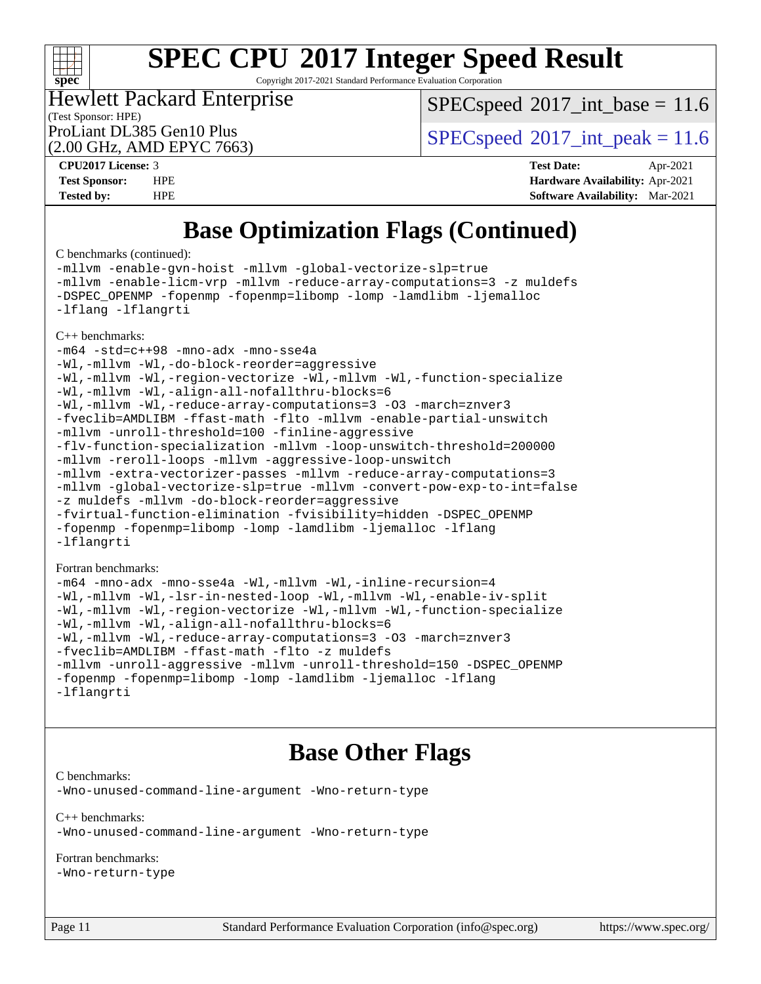## $\begin{matrix} & \ + \ + \end{matrix}$ **[spec](http://www.spec.org/)**

# **[SPEC CPU](http://www.spec.org/auto/cpu2017/Docs/result-fields.html#SPECCPU2017IntegerSpeedResult)[2017 Integer Speed Result](http://www.spec.org/auto/cpu2017/Docs/result-fields.html#SPECCPU2017IntegerSpeedResult)**

Copyright 2017-2021 Standard Performance Evaluation Corporation

### (Test Sponsor: HPE) Hewlett Packard Enterprise

 $SPECspeed^{\circ}2017\_int\_base = 11.6$  $SPECspeed^{\circ}2017\_int\_base = 11.6$ 

ProLiant DL385 Gen10 Plus  $SPEC speed@2017$ \_int\_peak = 11.6

(2.00 GHz, AMD EPYC 7663)

**[CPU2017 License:](http://www.spec.org/auto/cpu2017/Docs/result-fields.html#CPU2017License)** 3 **[Test Date:](http://www.spec.org/auto/cpu2017/Docs/result-fields.html#TestDate)** Apr-2021 **[Test Sponsor:](http://www.spec.org/auto/cpu2017/Docs/result-fields.html#TestSponsor)** HPE **[Hardware Availability:](http://www.spec.org/auto/cpu2017/Docs/result-fields.html#HardwareAvailability)** Apr-2021 **[Tested by:](http://www.spec.org/auto/cpu2017/Docs/result-fields.html#Testedby)** HPE **[Software Availability:](http://www.spec.org/auto/cpu2017/Docs/result-fields.html#SoftwareAvailability)** Mar-2021

## **[Base Optimization Flags \(Continued\)](http://www.spec.org/auto/cpu2017/Docs/result-fields.html#BaseOptimizationFlags)**

[C benchmarks](http://www.spec.org/auto/cpu2017/Docs/result-fields.html#Cbenchmarks) (continued):

[-mllvm -enable-gvn-hoist](http://www.spec.org/cpu2017/results/res2021q2/cpu2017-20210524-26467.flags.html#user_CCbase_F-enable-gvn-hoist_e5856354646dd6ca1333a0ad99b817e4cf8932b91b82809fd8fd47ceff7b22a89eba5c98fd3e3fa5200368fd772cec3dd56abc3c8f7b655a71b9f9848dddedd5) [-mllvm -global-vectorize-slp=true](http://www.spec.org/cpu2017/results/res2021q2/cpu2017-20210524-26467.flags.html#user_CCbase_F-global-vectorize-slp_f701c289ed3fc79483844cad3672606d268e3123d2651e764a36e57810b634b30ff7af25c43ce4288d0e4c1cc47ba156fce6ed971bc0d0e53c4c557f353d3dec) [-mllvm -enable-licm-vrp](http://www.spec.org/cpu2017/results/res2021q2/cpu2017-20210524-26467.flags.html#user_CCbase_F-enable-licm-vrp_82fd83574dee81d8c8043a1355024a53ba7c23d449242d72368fd778ae4cd8625fb6c8e473e88c632367ccc13b0c321b9a13b8db897fcfc1592cf0205fd356b5) [-mllvm -reduce-array-computations=3](http://www.spec.org/cpu2017/results/res2021q2/cpu2017-20210524-26467.flags.html#user_CCbase_F-reduce-array-computations) [-z muldefs](http://www.spec.org/cpu2017/results/res2021q2/cpu2017-20210524-26467.flags.html#user_CCbase_aocc-muldefs) [-DSPEC\\_OPENMP](http://www.spec.org/cpu2017/results/res2021q2/cpu2017-20210524-26467.flags.html#suite_CCbase_DSPEC_OPENMP) [-fopenmp](http://www.spec.org/cpu2017/results/res2021q2/cpu2017-20210524-26467.flags.html#user_CCbase_aocc-fopenmp) [-fopenmp=libomp](http://www.spec.org/cpu2017/results/res2021q2/cpu2017-20210524-26467.flags.html#user_CCbase_aocc-fopenmp_3eb6ab80166bcc84161ff8c20c8d5bc344f88119f45620444596454f7d72e99b7a0ceefc2d1b4d190bd07306bbfdfc20f11f5a2dc69c9b03c72239f8406741c3) [-lomp](http://www.spec.org/cpu2017/results/res2021q2/cpu2017-20210524-26467.flags.html#user_CCbase_F-lomp) [-lamdlibm](http://www.spec.org/cpu2017/results/res2021q2/cpu2017-20210524-26467.flags.html#user_CCbase_F-lamdlibm) [-ljemalloc](http://www.spec.org/cpu2017/results/res2021q2/cpu2017-20210524-26467.flags.html#user_CCbase_jemalloc-lib) [-lflang](http://www.spec.org/cpu2017/results/res2021q2/cpu2017-20210524-26467.flags.html#user_CCbase_F-lflang) [-lflangrti](http://www.spec.org/cpu2017/results/res2021q2/cpu2017-20210524-26467.flags.html#user_CCbase_F-lflangrti)

[C++ benchmarks:](http://www.spec.org/auto/cpu2017/Docs/result-fields.html#CXXbenchmarks)

[-m64](http://www.spec.org/cpu2017/results/res2021q2/cpu2017-20210524-26467.flags.html#user_CXXbase_F-m64) [-std=c++98](http://www.spec.org/cpu2017/results/res2021q2/cpu2017-20210524-26467.flags.html#user_CXXbase_std-cpp) [-mno-adx](http://www.spec.org/cpu2017/results/res2021q2/cpu2017-20210524-26467.flags.html#user_CXXbase_F-mno-adx) [-mno-sse4a](http://www.spec.org/cpu2017/results/res2021q2/cpu2017-20210524-26467.flags.html#user_CXXbase_F-mno-sse4a) [-Wl,-mllvm -Wl,-do-block-reorder=aggressive](http://www.spec.org/cpu2017/results/res2021q2/cpu2017-20210524-26467.flags.html#user_CXXbase_F-do-block-reorder_5f74e61ee573767a7a801151b896942f7b82b19d6cd9bf8ce970c1e994a093b9201db6c2ab0fa62493e8c1b02c988fb29421a5aa214bf67b5398dfa89747b1b3) [-Wl,-mllvm -Wl,-region-vectorize](http://www.spec.org/cpu2017/results/res2021q2/cpu2017-20210524-26467.flags.html#user_CXXbase_F-region-vectorize_fb6c6b5aa293c88efc6c7c2b52b20755e943585b1fe8658c35afef78727fff56e1a56891413c30e36b8e2a6f9a71126986319243e80eb6110b78b288f533c52b) [-Wl,-mllvm -Wl,-function-specialize](http://www.spec.org/cpu2017/results/res2021q2/cpu2017-20210524-26467.flags.html#user_CXXbase_F-function-specialize_7e7e661e57922243ee67c9a1251cb8910e607325179a0ce7f2884e09a6f5d4a5ef0ae4f37e8a2a11c95fc48e931f06dc2b6016f14b511fcb441e048bef1b065a) [-Wl,-mllvm -Wl,-align-all-nofallthru-blocks=6](http://www.spec.org/cpu2017/results/res2021q2/cpu2017-20210524-26467.flags.html#user_CXXbase_F-align-all-nofallthru-blocks) [-Wl,-mllvm -Wl,-reduce-array-computations=3](http://www.spec.org/cpu2017/results/res2021q2/cpu2017-20210524-26467.flags.html#user_CXXbase_F-reduce-array-computations_b882aefe7a5dda4e33149f6299762b9a720dace3e498e13756f4c04e5a19edf5315c1f3993de2e61ec41e8c206231f84e05da7040e1bb5d69ba27d10a12507e4) [-O3](http://www.spec.org/cpu2017/results/res2021q2/cpu2017-20210524-26467.flags.html#user_CXXbase_F-O3) [-march=znver3](http://www.spec.org/cpu2017/results/res2021q2/cpu2017-20210524-26467.flags.html#user_CXXbase_aocc-march) [-fveclib=AMDLIBM](http://www.spec.org/cpu2017/results/res2021q2/cpu2017-20210524-26467.flags.html#user_CXXbase_F-fveclib) [-ffast-math](http://www.spec.org/cpu2017/results/res2021q2/cpu2017-20210524-26467.flags.html#user_CXXbase_aocc-ffast-math) [-flto](http://www.spec.org/cpu2017/results/res2021q2/cpu2017-20210524-26467.flags.html#user_CXXbase_aocc-flto) [-mllvm -enable-partial-unswitch](http://www.spec.org/cpu2017/results/res2021q2/cpu2017-20210524-26467.flags.html#user_CXXbase_F-enable-partial-unswitch_6e1c33f981d77963b1eaf834973128a7f33ce3f8e27f54689656697a35e89dcc875281e0e6283d043e32f367dcb605ba0e307a92e830f7e326789fa6c61b35d3) [-mllvm -unroll-threshold=100](http://www.spec.org/cpu2017/results/res2021q2/cpu2017-20210524-26467.flags.html#user_CXXbase_F-unroll-threshold) [-finline-aggressive](http://www.spec.org/cpu2017/results/res2021q2/cpu2017-20210524-26467.flags.html#user_CXXbase_F-finline-aggressive) [-flv-function-specialization](http://www.spec.org/cpu2017/results/res2021q2/cpu2017-20210524-26467.flags.html#user_CXXbase_F-flv-function-specialization) [-mllvm -loop-unswitch-threshold=200000](http://www.spec.org/cpu2017/results/res2021q2/cpu2017-20210524-26467.flags.html#user_CXXbase_F-loop-unswitch-threshold_f9a82ae3270e55b5fbf79d0d96ee93606b73edbbe527d20b18b7bff1a3a146ad50cfc7454c5297978340ae9213029016a7d16221274d672d3f7f42ed25274e1d) [-mllvm -reroll-loops](http://www.spec.org/cpu2017/results/res2021q2/cpu2017-20210524-26467.flags.html#user_CXXbase_F-reroll-loops) [-mllvm -aggressive-loop-unswitch](http://www.spec.org/cpu2017/results/res2021q2/cpu2017-20210524-26467.flags.html#user_CXXbase_F-aggressive-loop-unswitch_abd8177005d493f9a81f88ae32814acdc0422950e54bc53b0605c538e2e7549eb43d48c826089056b98aa2f0c142dc7ed1401fa1c97db9286a8c3ff748437b59) [-mllvm -extra-vectorizer-passes](http://www.spec.org/cpu2017/results/res2021q2/cpu2017-20210524-26467.flags.html#user_CXXbase_F-extra-vectorizer-passes_4bb9f90681e045f5ce38050c5c48e52c5a95ed819cbc44e12f6b389a91a38f1bfb7d9f51b06906bf2bd7ccd881019f6383c418982c71e3a142c10a060056d555) [-mllvm -reduce-array-computations=3](http://www.spec.org/cpu2017/results/res2021q2/cpu2017-20210524-26467.flags.html#user_CXXbase_F-reduce-array-computations) [-mllvm -global-vectorize-slp=true](http://www.spec.org/cpu2017/results/res2021q2/cpu2017-20210524-26467.flags.html#user_CXXbase_F-global-vectorize-slp_f701c289ed3fc79483844cad3672606d268e3123d2651e764a36e57810b634b30ff7af25c43ce4288d0e4c1cc47ba156fce6ed971bc0d0e53c4c557f353d3dec) [-mllvm -convert-pow-exp-to-int=false](http://www.spec.org/cpu2017/results/res2021q2/cpu2017-20210524-26467.flags.html#user_CXXbase_F-convert-pow-exp-to-int_48075d7f300181d7350b7c152e089ba974e4acf53c583458eae87b0ecd6f9aa5a8546e2797aca77a784d497b972647cfd65b81c02996ee1106af5ba1043433c1) [-z muldefs](http://www.spec.org/cpu2017/results/res2021q2/cpu2017-20210524-26467.flags.html#user_CXXbase_aocc-muldefs) [-mllvm -do-block-reorder=aggressive](http://www.spec.org/cpu2017/results/res2021q2/cpu2017-20210524-26467.flags.html#user_CXXbase_F-do-block-reorder) [-fvirtual-function-elimination](http://www.spec.org/cpu2017/results/res2021q2/cpu2017-20210524-26467.flags.html#user_CXXbase_F-fvirtual-function-elimination) [-fvisibility=hidden](http://www.spec.org/cpu2017/results/res2021q2/cpu2017-20210524-26467.flags.html#user_CXXbase_F-fvisibility) [-DSPEC\\_OPENMP](http://www.spec.org/cpu2017/results/res2021q2/cpu2017-20210524-26467.flags.html#suite_CXXbase_DSPEC_OPENMP) [-fopenmp](http://www.spec.org/cpu2017/results/res2021q2/cpu2017-20210524-26467.flags.html#user_CXXbase_aocc-fopenmp) [-fopenmp=libomp](http://www.spec.org/cpu2017/results/res2021q2/cpu2017-20210524-26467.flags.html#user_CXXbase_aocc-fopenmp_3eb6ab80166bcc84161ff8c20c8d5bc344f88119f45620444596454f7d72e99b7a0ceefc2d1b4d190bd07306bbfdfc20f11f5a2dc69c9b03c72239f8406741c3) [-lomp](http://www.spec.org/cpu2017/results/res2021q2/cpu2017-20210524-26467.flags.html#user_CXXbase_F-lomp) [-lamdlibm](http://www.spec.org/cpu2017/results/res2021q2/cpu2017-20210524-26467.flags.html#user_CXXbase_F-lamdlibm) [-ljemalloc](http://www.spec.org/cpu2017/results/res2021q2/cpu2017-20210524-26467.flags.html#user_CXXbase_jemalloc-lib) [-lflang](http://www.spec.org/cpu2017/results/res2021q2/cpu2017-20210524-26467.flags.html#user_CXXbase_F-lflang) [-lflangrti](http://www.spec.org/cpu2017/results/res2021q2/cpu2017-20210524-26467.flags.html#user_CXXbase_F-lflangrti)

### [Fortran benchmarks](http://www.spec.org/auto/cpu2017/Docs/result-fields.html#Fortranbenchmarks):

[-m64](http://www.spec.org/cpu2017/results/res2021q2/cpu2017-20210524-26467.flags.html#user_FCbase_F-m64) [-mno-adx](http://www.spec.org/cpu2017/results/res2021q2/cpu2017-20210524-26467.flags.html#user_FCbase_F-mno-adx) [-mno-sse4a](http://www.spec.org/cpu2017/results/res2021q2/cpu2017-20210524-26467.flags.html#user_FCbase_F-mno-sse4a) [-Wl,-mllvm -Wl,-inline-recursion=4](http://www.spec.org/cpu2017/results/res2021q2/cpu2017-20210524-26467.flags.html#user_FCbase_F-inline-recursion) [-Wl,-mllvm -Wl,-lsr-in-nested-loop](http://www.spec.org/cpu2017/results/res2021q2/cpu2017-20210524-26467.flags.html#user_FCbase_F-lsr-in-nested-loop) [-Wl,-mllvm -Wl,-enable-iv-split](http://www.spec.org/cpu2017/results/res2021q2/cpu2017-20210524-26467.flags.html#user_FCbase_F-enable-iv-split) [-Wl,-mllvm -Wl,-region-vectorize](http://www.spec.org/cpu2017/results/res2021q2/cpu2017-20210524-26467.flags.html#user_FCbase_F-region-vectorize_fb6c6b5aa293c88efc6c7c2b52b20755e943585b1fe8658c35afef78727fff56e1a56891413c30e36b8e2a6f9a71126986319243e80eb6110b78b288f533c52b) [-Wl,-mllvm -Wl,-function-specialize](http://www.spec.org/cpu2017/results/res2021q2/cpu2017-20210524-26467.flags.html#user_FCbase_F-function-specialize_7e7e661e57922243ee67c9a1251cb8910e607325179a0ce7f2884e09a6f5d4a5ef0ae4f37e8a2a11c95fc48e931f06dc2b6016f14b511fcb441e048bef1b065a) [-Wl,-mllvm -Wl,-align-all-nofallthru-blocks=6](http://www.spec.org/cpu2017/results/res2021q2/cpu2017-20210524-26467.flags.html#user_FCbase_F-align-all-nofallthru-blocks) [-Wl,-mllvm -Wl,-reduce-array-computations=3](http://www.spec.org/cpu2017/results/res2021q2/cpu2017-20210524-26467.flags.html#user_FCbase_F-reduce-array-computations_b882aefe7a5dda4e33149f6299762b9a720dace3e498e13756f4c04e5a19edf5315c1f3993de2e61ec41e8c206231f84e05da7040e1bb5d69ba27d10a12507e4) [-O3](http://www.spec.org/cpu2017/results/res2021q2/cpu2017-20210524-26467.flags.html#user_FCbase_F-O3) [-march=znver3](http://www.spec.org/cpu2017/results/res2021q2/cpu2017-20210524-26467.flags.html#user_FCbase_aocc-march) [-fveclib=AMDLIBM](http://www.spec.org/cpu2017/results/res2021q2/cpu2017-20210524-26467.flags.html#user_FCbase_F-fveclib) [-ffast-math](http://www.spec.org/cpu2017/results/res2021q2/cpu2017-20210524-26467.flags.html#user_FCbase_aocc-ffast-math) [-flto](http://www.spec.org/cpu2017/results/res2021q2/cpu2017-20210524-26467.flags.html#user_FCbase_aocc-flto) [-z muldefs](http://www.spec.org/cpu2017/results/res2021q2/cpu2017-20210524-26467.flags.html#user_FCbase_aocc-muldefs) [-mllvm -unroll-aggressive](http://www.spec.org/cpu2017/results/res2021q2/cpu2017-20210524-26467.flags.html#user_FCbase_F-unroll-aggressive) [-mllvm -unroll-threshold=150](http://www.spec.org/cpu2017/results/res2021q2/cpu2017-20210524-26467.flags.html#user_FCbase_F-unroll-threshold_3352736ce55666ed13437f5f5fd6693920e68d4dfd26bba42492bb1c46b6d7692ff5ba7bd4d2ebdab48d140ca981a39154ff0664b4d322a66fc3d1aafa4d7ffe) [-DSPEC\\_OPENMP](http://www.spec.org/cpu2017/results/res2021q2/cpu2017-20210524-26467.flags.html#suite_FCbase_DSPEC_OPENMP) [-fopenmp](http://www.spec.org/cpu2017/results/res2021q2/cpu2017-20210524-26467.flags.html#user_FCbase_aocc-fopenmp) [-fopenmp=libomp](http://www.spec.org/cpu2017/results/res2021q2/cpu2017-20210524-26467.flags.html#user_FCbase_aocc-fopenmp_3eb6ab80166bcc84161ff8c20c8d5bc344f88119f45620444596454f7d72e99b7a0ceefc2d1b4d190bd07306bbfdfc20f11f5a2dc69c9b03c72239f8406741c3) [-lomp](http://www.spec.org/cpu2017/results/res2021q2/cpu2017-20210524-26467.flags.html#user_FCbase_F-lomp) [-lamdlibm](http://www.spec.org/cpu2017/results/res2021q2/cpu2017-20210524-26467.flags.html#user_FCbase_F-lamdlibm) [-ljemalloc](http://www.spec.org/cpu2017/results/res2021q2/cpu2017-20210524-26467.flags.html#user_FCbase_jemalloc-lib) [-lflang](http://www.spec.org/cpu2017/results/res2021q2/cpu2017-20210524-26467.flags.html#user_FCbase_F-lflang) [-lflangrti](http://www.spec.org/cpu2017/results/res2021q2/cpu2017-20210524-26467.flags.html#user_FCbase_F-lflangrti)

## **[Base Other Flags](http://www.spec.org/auto/cpu2017/Docs/result-fields.html#BaseOtherFlags)**

[C benchmarks](http://www.spec.org/auto/cpu2017/Docs/result-fields.html#Cbenchmarks):

[-Wno-unused-command-line-argument](http://www.spec.org/cpu2017/results/res2021q2/cpu2017-20210524-26467.flags.html#user_CCbase_F-Wno-unused-command-line-argument) [-Wno-return-type](http://www.spec.org/cpu2017/results/res2021q2/cpu2017-20210524-26467.flags.html#user_CCbase_F-Waocc-no-return-type)

[C++ benchmarks:](http://www.spec.org/auto/cpu2017/Docs/result-fields.html#CXXbenchmarks) [-Wno-unused-command-line-argument](http://www.spec.org/cpu2017/results/res2021q2/cpu2017-20210524-26467.flags.html#user_CXXbase_F-Wno-unused-command-line-argument) [-Wno-return-type](http://www.spec.org/cpu2017/results/res2021q2/cpu2017-20210524-26467.flags.html#user_CXXbase_F-Waocc-no-return-type)

### [Fortran benchmarks](http://www.spec.org/auto/cpu2017/Docs/result-fields.html#Fortranbenchmarks):

[-Wno-return-type](http://www.spec.org/cpu2017/results/res2021q2/cpu2017-20210524-26467.flags.html#user_FCbase_F-Waocc-no-return-type)

Page 11 Standard Performance Evaluation Corporation [\(info@spec.org\)](mailto:info@spec.org) <https://www.spec.org/>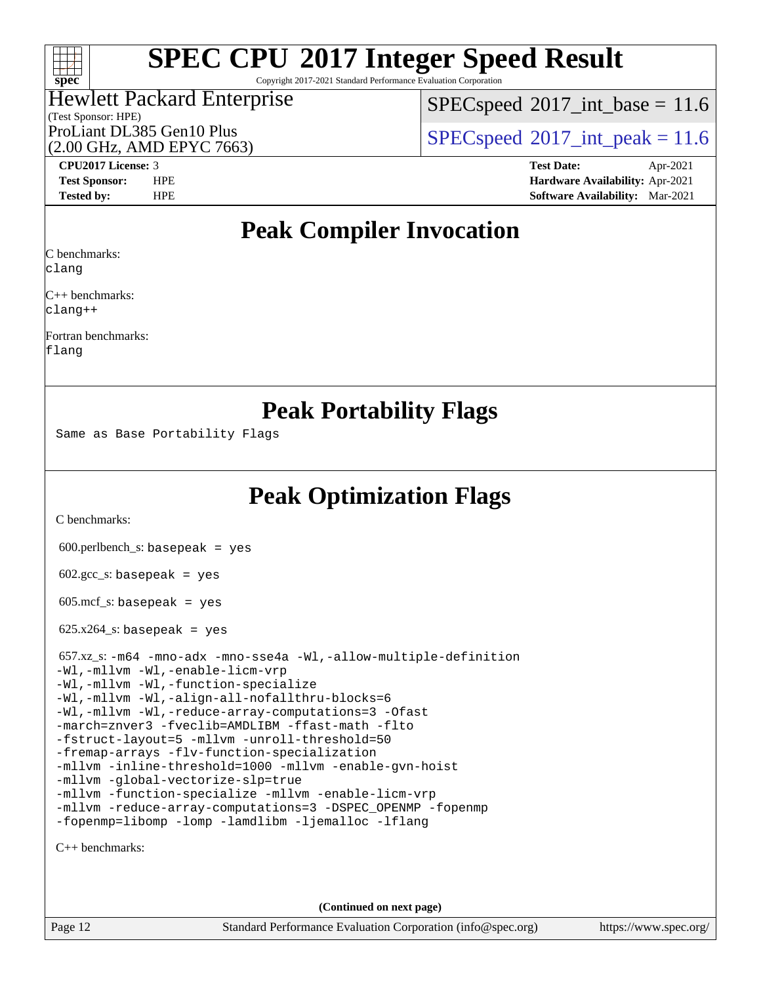## $\pm\pm\prime$ **[spec](http://www.spec.org/)**

# **[SPEC CPU](http://www.spec.org/auto/cpu2017/Docs/result-fields.html#SPECCPU2017IntegerSpeedResult)[2017 Integer Speed Result](http://www.spec.org/auto/cpu2017/Docs/result-fields.html#SPECCPU2017IntegerSpeedResult)**

Copyright 2017-2021 Standard Performance Evaluation Corporation

## (Test Sponsor: HPE) Hewlett Packard Enterprise (2.00 GHz, AMD EPYC 7663)

 $SPECspeed^{\circ}2017\_int\_base = 11.6$  $SPECspeed^{\circ}2017\_int\_base = 11.6$ 

ProLiant DL385 Gen10 Plus  $\vert$  [SPECspeed](http://www.spec.org/auto/cpu2017/Docs/result-fields.html#SPECspeed2017intpeak)®[2017\\_int\\_peak = 1](http://www.spec.org/auto/cpu2017/Docs/result-fields.html#SPECspeed2017intpeak)1.6

**[CPU2017 License:](http://www.spec.org/auto/cpu2017/Docs/result-fields.html#CPU2017License)** 3 **[Test Date:](http://www.spec.org/auto/cpu2017/Docs/result-fields.html#TestDate)** Apr-2021 **[Test Sponsor:](http://www.spec.org/auto/cpu2017/Docs/result-fields.html#TestSponsor)** HPE **[Hardware Availability:](http://www.spec.org/auto/cpu2017/Docs/result-fields.html#HardwareAvailability)** Apr-2021 **[Tested by:](http://www.spec.org/auto/cpu2017/Docs/result-fields.html#Testedby)** HPE **[Software Availability:](http://www.spec.org/auto/cpu2017/Docs/result-fields.html#SoftwareAvailability)** Mar-2021

## **[Peak Compiler Invocation](http://www.spec.org/auto/cpu2017/Docs/result-fields.html#PeakCompilerInvocation)**

[C benchmarks](http://www.spec.org/auto/cpu2017/Docs/result-fields.html#Cbenchmarks):

[clang](http://www.spec.org/cpu2017/results/res2021q2/cpu2017-20210524-26467.flags.html#user_CCpeak_clang-c)

[C++ benchmarks](http://www.spec.org/auto/cpu2017/Docs/result-fields.html#CXXbenchmarks): [clang++](http://www.spec.org/cpu2017/results/res2021q2/cpu2017-20210524-26467.flags.html#user_CXXpeak_clang-cpp)

[Fortran benchmarks:](http://www.spec.org/auto/cpu2017/Docs/result-fields.html#Fortranbenchmarks) [flang](http://www.spec.org/cpu2017/results/res2021q2/cpu2017-20210524-26467.flags.html#user_FCpeak_flang)

## **[Peak Portability Flags](http://www.spec.org/auto/cpu2017/Docs/result-fields.html#PeakPortabilityFlags)**

Same as Base Portability Flags

**[Peak Optimization Flags](http://www.spec.org/auto/cpu2017/Docs/result-fields.html#PeakOptimizationFlags)**

[C benchmarks](http://www.spec.org/auto/cpu2017/Docs/result-fields.html#Cbenchmarks):

600.perlbench\_s: basepeak = yes

 $602.\text{gcc}\_\text{s}:$  basepeak = yes

 $605.\text{mcf}\text{ s}:$  basepeak = yes

 $625.x264_s$ : basepeak = yes

| 657.xz_s:-m64 -mno-adx -mno-sse4a -Wl,-allow-multiple-definition |
|------------------------------------------------------------------|
| -Wl,-mllvm -Wl,-enable-licm-vrp                                  |
| -Wl,-mllvm -Wl,-function-specialize                              |
| -Wl,-mllym -Wl,-align-all-nofallthru-blocks=6                    |
| -Wl,-mllvm -Wl,-reduce-array-computations=3 -Ofast               |
| -march=znver3 -fveclib=AMDLIBM -ffast-math -flto                 |
| -fstruct-layout=5 -mllym -unroll-threshold=50                    |
| -fremap-arrays -flv-function-specialization                      |
| -mllvm -inline-threshold=1000 -mllvm -enable-qvn-hoist           |
| -mllvm -qlobal-vectorize-slp=true                                |
| -mllvm -function-specialize -mllvm -enable-licm-vrp              |
| -mllvm -reduce-array-computations=3 -DSPEC_OPENMP -fopenmp       |
| -fopenmp=libomp -lomp -lamdlibm -ljemalloc -lflang               |

[C++ benchmarks:](http://www.spec.org/auto/cpu2017/Docs/result-fields.html#CXXbenchmarks)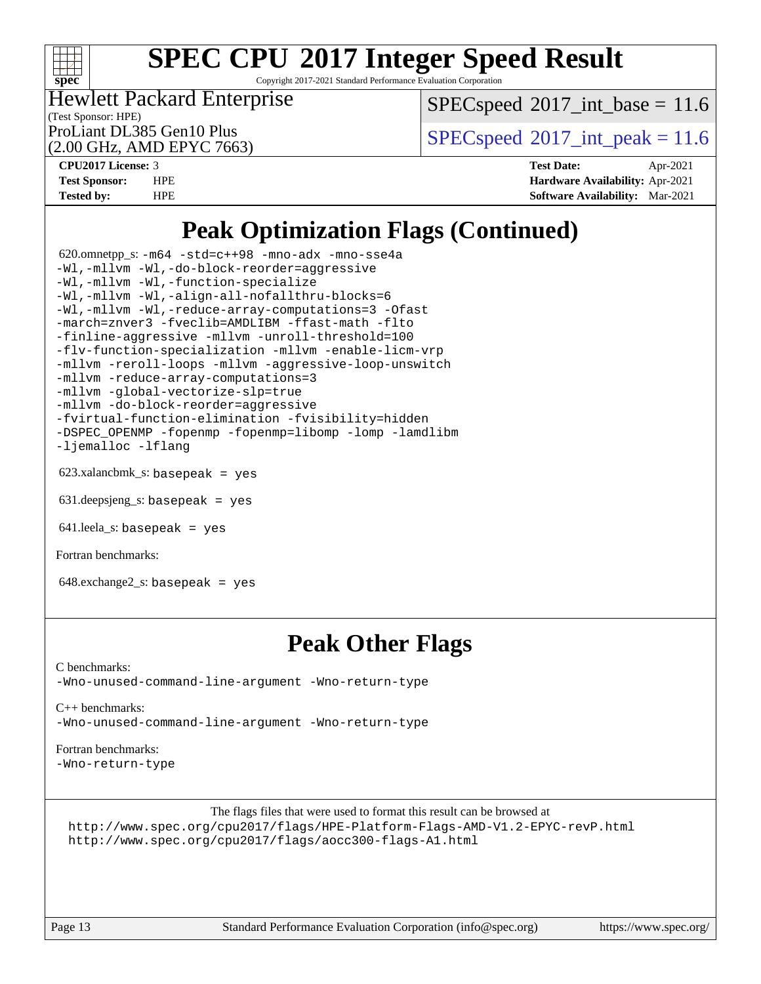

Copyright 2017-2021 Standard Performance Evaluation Corporation

### (Test Sponsor: HPE) Hewlett Packard Enterprise

 $SPECspeed^{\circ}2017\_int\_base = 11.6$  $SPECspeed^{\circ}2017\_int\_base = 11.6$ 

(2.00 GHz, AMD EPYC 7663)

ProLiant DL385 Gen10 Plus  $SPEC speed@2017$ \_int\_peak = 11.6

**[CPU2017 License:](http://www.spec.org/auto/cpu2017/Docs/result-fields.html#CPU2017License)** 3 **[Test Date:](http://www.spec.org/auto/cpu2017/Docs/result-fields.html#TestDate)** Apr-2021 **[Test Sponsor:](http://www.spec.org/auto/cpu2017/Docs/result-fields.html#TestSponsor)** HPE **[Hardware Availability:](http://www.spec.org/auto/cpu2017/Docs/result-fields.html#HardwareAvailability)** Apr-2021 **[Tested by:](http://www.spec.org/auto/cpu2017/Docs/result-fields.html#Testedby)** HPE **[Software Availability:](http://www.spec.org/auto/cpu2017/Docs/result-fields.html#SoftwareAvailability)** Mar-2021

## **[Peak Optimization Flags \(Continued\)](http://www.spec.org/auto/cpu2017/Docs/result-fields.html#PeakOptimizationFlags)**

 620.omnetpp\_s: [-m64](http://www.spec.org/cpu2017/results/res2021q2/cpu2017-20210524-26467.flags.html#user_peakCXXLD620_omnetpp_s_F-m64) [-std=c++98](http://www.spec.org/cpu2017/results/res2021q2/cpu2017-20210524-26467.flags.html#user_peakCXX620_omnetpp_s_std-cpp) [-mno-adx](http://www.spec.org/cpu2017/results/res2021q2/cpu2017-20210524-26467.flags.html#user_peakCXX620_omnetpp_s_F-mno-adx) [-mno-sse4a](http://www.spec.org/cpu2017/results/res2021q2/cpu2017-20210524-26467.flags.html#user_peakCXX620_omnetpp_s_F-mno-sse4a) [-Wl,-mllvm -Wl,-do-block-reorder=aggressive](http://www.spec.org/cpu2017/results/res2021q2/cpu2017-20210524-26467.flags.html#user_peakLDCXXFLAGS620_omnetpp_s_F-do-block-reorder_5f74e61ee573767a7a801151b896942f7b82b19d6cd9bf8ce970c1e994a093b9201db6c2ab0fa62493e8c1b02c988fb29421a5aa214bf67b5398dfa89747b1b3) [-Wl,-mllvm -Wl,-function-specialize](http://www.spec.org/cpu2017/results/res2021q2/cpu2017-20210524-26467.flags.html#user_peakEXTRA_LDFLAGS620_omnetpp_s_F-function-specialize_7e7e661e57922243ee67c9a1251cb8910e607325179a0ce7f2884e09a6f5d4a5ef0ae4f37e8a2a11c95fc48e931f06dc2b6016f14b511fcb441e048bef1b065a) [-Wl,-mllvm -Wl,-align-all-nofallthru-blocks=6](http://www.spec.org/cpu2017/results/res2021q2/cpu2017-20210524-26467.flags.html#user_peakEXTRA_LDFLAGS620_omnetpp_s_F-align-all-nofallthru-blocks) [-Wl,-mllvm -Wl,-reduce-array-computations=3](http://www.spec.org/cpu2017/results/res2021q2/cpu2017-20210524-26467.flags.html#user_peakEXTRA_LDFLAGS620_omnetpp_s_F-reduce-array-computations_b882aefe7a5dda4e33149f6299762b9a720dace3e498e13756f4c04e5a19edf5315c1f3993de2e61ec41e8c206231f84e05da7040e1bb5d69ba27d10a12507e4) [-Ofast](http://www.spec.org/cpu2017/results/res2021q2/cpu2017-20210524-26467.flags.html#user_peakCXXOPTIMIZE620_omnetpp_s_aocc-Ofast) [-march=znver3](http://www.spec.org/cpu2017/results/res2021q2/cpu2017-20210524-26467.flags.html#user_peakCXXOPTIMIZE620_omnetpp_s_aocc-march) [-fveclib=AMDLIBM](http://www.spec.org/cpu2017/results/res2021q2/cpu2017-20210524-26467.flags.html#user_peakCXXOPTIMIZE620_omnetpp_s_F-fveclib) [-ffast-math](http://www.spec.org/cpu2017/results/res2021q2/cpu2017-20210524-26467.flags.html#user_peakCXXOPTIMIZE620_omnetpp_s_aocc-ffast-math) [-flto](http://www.spec.org/cpu2017/results/res2021q2/cpu2017-20210524-26467.flags.html#user_peakCXXOPTIMIZE620_omnetpp_s_aocc-flto) [-finline-aggressive](http://www.spec.org/cpu2017/results/res2021q2/cpu2017-20210524-26467.flags.html#user_peakCXXOPTIMIZE620_omnetpp_s_F-finline-aggressive) [-mllvm -unroll-threshold=100](http://www.spec.org/cpu2017/results/res2021q2/cpu2017-20210524-26467.flags.html#user_peakCXXOPTIMIZE620_omnetpp_s_F-unroll-threshold) [-flv-function-specialization](http://www.spec.org/cpu2017/results/res2021q2/cpu2017-20210524-26467.flags.html#user_peakCXXOPTIMIZE620_omnetpp_s_F-flv-function-specialization) [-mllvm -enable-licm-vrp](http://www.spec.org/cpu2017/results/res2021q2/cpu2017-20210524-26467.flags.html#user_peakCXXOPTIMIZE620_omnetpp_s_F-enable-licm-vrp_82fd83574dee81d8c8043a1355024a53ba7c23d449242d72368fd778ae4cd8625fb6c8e473e88c632367ccc13b0c321b9a13b8db897fcfc1592cf0205fd356b5) [-mllvm -reroll-loops](http://www.spec.org/cpu2017/results/res2021q2/cpu2017-20210524-26467.flags.html#user_peakCXXOPTIMIZE620_omnetpp_s_F-reroll-loops) [-mllvm -aggressive-loop-unswitch](http://www.spec.org/cpu2017/results/res2021q2/cpu2017-20210524-26467.flags.html#user_peakCXXOPTIMIZE620_omnetpp_s_F-aggressive-loop-unswitch_abd8177005d493f9a81f88ae32814acdc0422950e54bc53b0605c538e2e7549eb43d48c826089056b98aa2f0c142dc7ed1401fa1c97db9286a8c3ff748437b59) [-mllvm -reduce-array-computations=3](http://www.spec.org/cpu2017/results/res2021q2/cpu2017-20210524-26467.flags.html#user_peakCXXOPTIMIZE620_omnetpp_s_F-reduce-array-computations) [-mllvm -global-vectorize-slp=true](http://www.spec.org/cpu2017/results/res2021q2/cpu2017-20210524-26467.flags.html#user_peakCXXOPTIMIZE620_omnetpp_s_F-global-vectorize-slp_f701c289ed3fc79483844cad3672606d268e3123d2651e764a36e57810b634b30ff7af25c43ce4288d0e4c1cc47ba156fce6ed971bc0d0e53c4c557f353d3dec) [-mllvm -do-block-reorder=aggressive](http://www.spec.org/cpu2017/results/res2021q2/cpu2017-20210524-26467.flags.html#user_peakEXTRA_CXXFLAGS620_omnetpp_s_F-do-block-reorder) [-fvirtual-function-elimination](http://www.spec.org/cpu2017/results/res2021q2/cpu2017-20210524-26467.flags.html#user_peakEXTRA_CXXFLAGS620_omnetpp_s_F-fvirtual-function-elimination) [-fvisibility=hidden](http://www.spec.org/cpu2017/results/res2021q2/cpu2017-20210524-26467.flags.html#user_peakEXTRA_CXXFLAGS620_omnetpp_s_F-fvisibility) [-DSPEC\\_OPENMP](http://www.spec.org/cpu2017/results/res2021q2/cpu2017-20210524-26467.flags.html#suite_peakEXTRA_OPTIMIZE620_omnetpp_s_DSPEC_OPENMP) [-fopenmp](http://www.spec.org/cpu2017/results/res2021q2/cpu2017-20210524-26467.flags.html#user_peakEXTRA_OPTIMIZE620_omnetpp_s_aocc-fopenmp) [-fopenmp=libomp](http://www.spec.org/cpu2017/results/res2021q2/cpu2017-20210524-26467.flags.html#user_peakEXTRA_LIBS620_omnetpp_s_aocc-fopenmp_3eb6ab80166bcc84161ff8c20c8d5bc344f88119f45620444596454f7d72e99b7a0ceefc2d1b4d190bd07306bbfdfc20f11f5a2dc69c9b03c72239f8406741c3) [-lomp](http://www.spec.org/cpu2017/results/res2021q2/cpu2017-20210524-26467.flags.html#user_peakEXTRA_LIBS620_omnetpp_s_F-lomp) [-lamdlibm](http://www.spec.org/cpu2017/results/res2021q2/cpu2017-20210524-26467.flags.html#user_peakEXTRA_LIBS620_omnetpp_s_F-lamdlibm) [-ljemalloc](http://www.spec.org/cpu2017/results/res2021q2/cpu2017-20210524-26467.flags.html#user_peakEXTRA_LIBS620_omnetpp_s_jemalloc-lib) [-lflang](http://www.spec.org/cpu2017/results/res2021q2/cpu2017-20210524-26467.flags.html#user_peakEXTRA_LIBS620_omnetpp_s_F-lflang)

623.xalancbmk\_s: basepeak = yes

631.deepsjeng\_s: basepeak = yes

641. leela s: basepeak = yes

[Fortran benchmarks](http://www.spec.org/auto/cpu2017/Docs/result-fields.html#Fortranbenchmarks):

 $648$ .exchange $2$ \_s: basepeak = yes

## **[Peak Other Flags](http://www.spec.org/auto/cpu2017/Docs/result-fields.html#PeakOtherFlags)**

[C benchmarks](http://www.spec.org/auto/cpu2017/Docs/result-fields.html#Cbenchmarks): [-Wno-unused-command-line-argument](http://www.spec.org/cpu2017/results/res2021q2/cpu2017-20210524-26467.flags.html#user_CCpeak_F-Wno-unused-command-line-argument) [-Wno-return-type](http://www.spec.org/cpu2017/results/res2021q2/cpu2017-20210524-26467.flags.html#user_CCpeak_F-Waocc-no-return-type)

[C++ benchmarks:](http://www.spec.org/auto/cpu2017/Docs/result-fields.html#CXXbenchmarks) [-Wno-unused-command-line-argument](http://www.spec.org/cpu2017/results/res2021q2/cpu2017-20210524-26467.flags.html#user_CXXpeak_F-Wno-unused-command-line-argument) [-Wno-return-type](http://www.spec.org/cpu2017/results/res2021q2/cpu2017-20210524-26467.flags.html#user_CXXpeak_F-Waocc-no-return-type)

[Fortran benchmarks](http://www.spec.org/auto/cpu2017/Docs/result-fields.html#Fortranbenchmarks):

[-Wno-return-type](http://www.spec.org/cpu2017/results/res2021q2/cpu2017-20210524-26467.flags.html#user_FCpeak_F-Waocc-no-return-type)

[The flags files that were used to format this result can be browsed at](tmsearch) <http://www.spec.org/cpu2017/flags/HPE-Platform-Flags-AMD-V1.2-EPYC-revP.html> <http://www.spec.org/cpu2017/flags/aocc300-flags-A1.html>